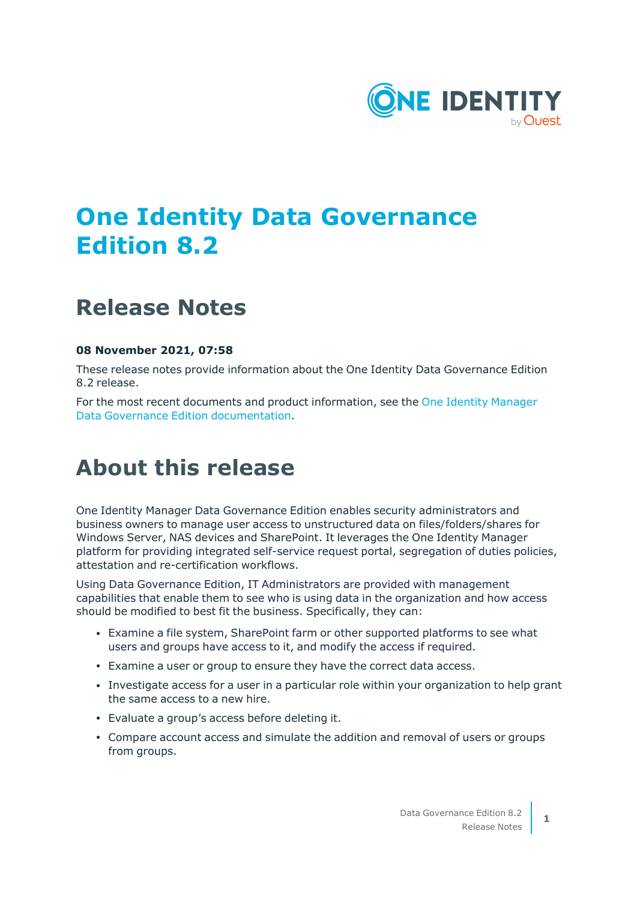

# **One Identity Data Governance Edition 8.2**

## **Release Notes**

### **08 November 2021, 07:58**

These release notes provide information about the One Identity Data Governance Edition 8.2 release.

For the most recent documents and product information, see the One Identity [Manager](https://support.oneidentity.com/identity-manager-data-governance-edition/8.1.5/technical-documents) Data Governance Edition [documentation](https://support.oneidentity.com/identity-manager-data-governance-edition/8.1.5/technical-documents).

## **About this release**

One Identity Manager Data Governance Edition enables security administrators and business owners to manage user access to unstructured data on files/folders/shares for Windows Server, NAS devices and SharePoint. It leverages the One Identity Manager platform for providing integrated self-service request portal, segregation of duties policies, attestation and re-certification workflows.

Using Data Governance Edition, IT Administrators are provided with management capabilities that enable them to see who is using data in the organization and how access should be modified to best fit the business. Specifically, they can:

- <sup>l</sup> Examine a file system, SharePoint farm or other supported platforms to see what users and groups have access to it, and modify the access if required.
- <sup>l</sup> Examine a user or group to ensure they have the correct data access.
- Investigate access for a user in a particular role within your organization to help grant the same access to a new hire.
- Evaluate a group's access before deleting it.
- Compare account access and simulate the addition and removal of users or groups from groups.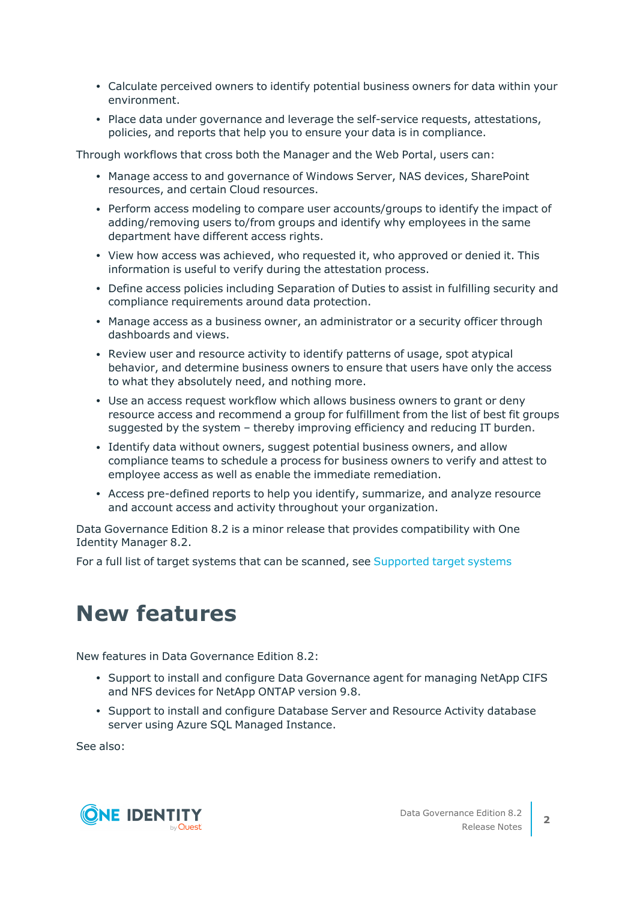- Calculate perceived owners to identify potential business owners for data within your environment.
- Place data under governance and leverage the self-service requests, attestations, policies, and reports that help you to ensure your data is in compliance.

Through workflows that cross both the Manager and the Web Portal, users can:

- Manage access to and governance of Windows Server, NAS devices, SharePoint resources, and certain Cloud resources.
- Perform access modeling to compare user accounts/groups to identify the impact of adding/removing users to/from groups and identify why employees in the same department have different access rights.
- View how access was achieved, who requested it, who approved or denied it. This information is useful to verify during the attestation process.
- Define access policies including Separation of Duties to assist in fulfilling security and compliance requirements around data protection.
- Manage access as a business owner, an administrator or a security officer through dashboards and views.
- Review user and resource activity to identify patterns of usage, spot atypical behavior, and determine business owners to ensure that users have only the access to what they absolutely need, and nothing more.
- Use an access request workflow which allows business owners to grant or deny resource access and recommend a group for fulfillment from the list of best fit groups suggested by the system – thereby improving efficiency and reducing IT burden.
- Identify data without owners, suggest potential business owners, and allow compliance teams to schedule a process for business owners to verify and attest to employee access as well as enable the immediate remediation.
- Access pre-defined reports to help you identify, summarize, and analyze resource and account access and activity throughout your organization.

Data Governance Edition 8.2 is a minor release that provides compatibility with One Identity Manager 8.2.

For a full list of target systems that can be scanned, see [Supported](#page-17-0) target systems

## **New features**

New features in Data Governance Edition 8.2:

- Support to install and configure Data Governance agent for managing NetApp CIFS and NFS devices for NetApp ONTAP version 9.8.
- Support to install and configure Database Server and Resource Activity database server using Azure SQL Managed Instance.

See also:

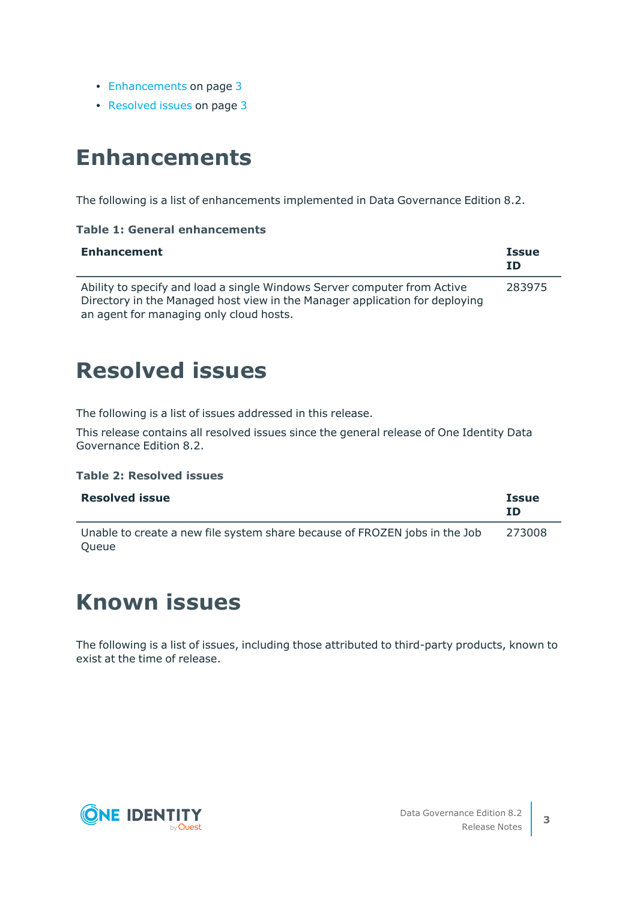- [Enhancements](#page-2-0) on page 3
- <span id="page-2-0"></span>• [Resolved](#page-2-1) issues on page 3

## **Enhancements**

The following is a list of enhancements implemented in Data Governance Edition 8.2.

### **Table 1: General enhancements**

| <b>Enhancement</b>                                                                                                                                      | <b>Issue</b><br>ΙD |
|---------------------------------------------------------------------------------------------------------------------------------------------------------|--------------------|
| Ability to specify and load a single Windows Server computer from Active<br>Directory in the Managed host view in the Manager application for deploying | 283975             |
| an agent for managing only cloud hosts.                                                                                                                 |                    |

## <span id="page-2-1"></span>**Resolved issues**

The following is a list of issues addressed in this release.

This release contains all resolved issues since the general release of One Identity Data Governance Edition 8.2.

### **Table 2: Resolved issues**

| <b>Resolved issue</b>                                                               | Issue<br>ID |
|-------------------------------------------------------------------------------------|-------------|
| Unable to create a new file system share because of FROZEN jobs in the Job<br>Queue | 273008      |

## **Known issues**

The following is a list of issues, including those attributed to third-party products, known to exist at the time of release.

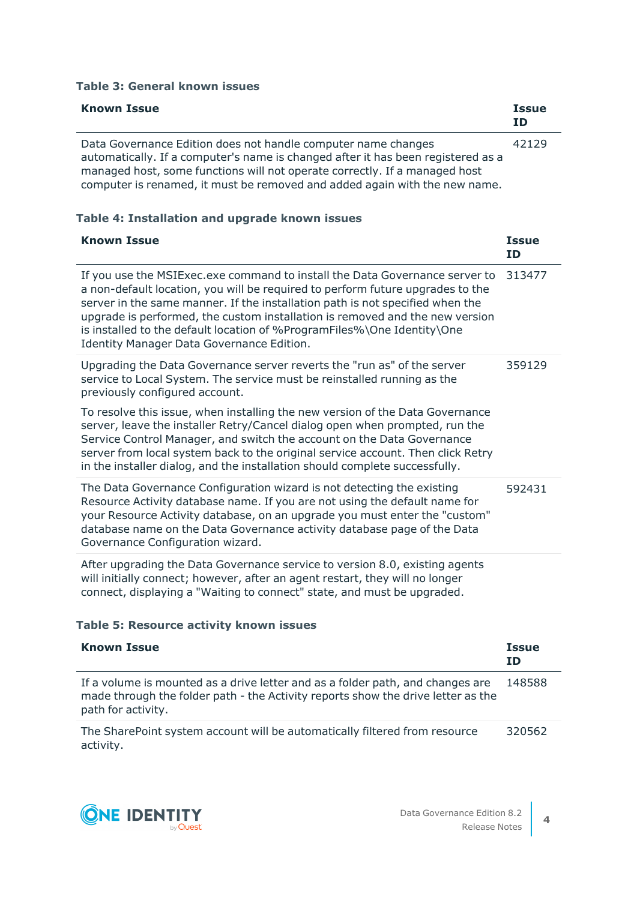### **Table 3: General known issues**

| <b>Known Issue</b>                                                                                                                                                                                                                                                                                            | <b>Issue</b><br>ID |
|---------------------------------------------------------------------------------------------------------------------------------------------------------------------------------------------------------------------------------------------------------------------------------------------------------------|--------------------|
| Data Governance Edition does not handle computer name changes<br>automatically. If a computer's name is changed after it has been registered as a<br>managed host, some functions will not operate correctly. If a managed host<br>computer is renamed, it must be removed and added again with the new name. | 42129              |

### **Table 4: Installation and upgrade known issues**

| <b>Known Issue</b>                                                                                                                                                                                                                                                                                                                                                                                                                                            | <b>Issue</b><br><b>ID</b> |
|---------------------------------------------------------------------------------------------------------------------------------------------------------------------------------------------------------------------------------------------------------------------------------------------------------------------------------------------------------------------------------------------------------------------------------------------------------------|---------------------------|
| If you use the MSIExec.exe command to install the Data Governance server to<br>a non-default location, you will be required to perform future upgrades to the<br>server in the same manner. If the installation path is not specified when the<br>upgrade is performed, the custom installation is removed and the new version<br>is installed to the default location of %ProgramFiles%\One Identity\One<br><b>Identity Manager Data Governance Edition.</b> | 313477                    |
| Upgrading the Data Governance server reverts the "run as" of the server<br>service to Local System. The service must be reinstalled running as the<br>previously configured account.                                                                                                                                                                                                                                                                          | 359129                    |
| To resolve this issue, when installing the new version of the Data Governance<br>server, leave the installer Retry/Cancel dialog open when prompted, run the<br>Service Control Manager, and switch the account on the Data Governance<br>server from local system back to the original service account. Then click Retry<br>in the installer dialog, and the installation should complete successfully.                                                      |                           |
| The Data Governance Configuration wizard is not detecting the existing<br>Resource Activity database name. If you are not using the default name for<br>your Resource Activity database, on an upgrade you must enter the "custom"<br>database name on the Data Governance activity database page of the Data<br>Governance Configuration wizard.                                                                                                             | 592431                    |
| After upgrading the Data Governance service to version 8.0, existing agents<br>will initially connect; however, after an agent restart, they will no longer<br>connect, displaying a "Waiting to connect" state, and must be upgraded.                                                                                                                                                                                                                        |                           |

### **Table 5: Resource activity known issues**

| <b>Known Issue</b>                                                                                                                                                                       | <b>Issue</b><br><b>ID</b> |
|------------------------------------------------------------------------------------------------------------------------------------------------------------------------------------------|---------------------------|
| If a volume is mounted as a drive letter and as a folder path, and changes are<br>made through the folder path - the Activity reports show the drive letter as the<br>path for activity. | 148588                    |
| The SharePoint system account will be automatically filtered from resource<br>activity.                                                                                                  | 320562                    |

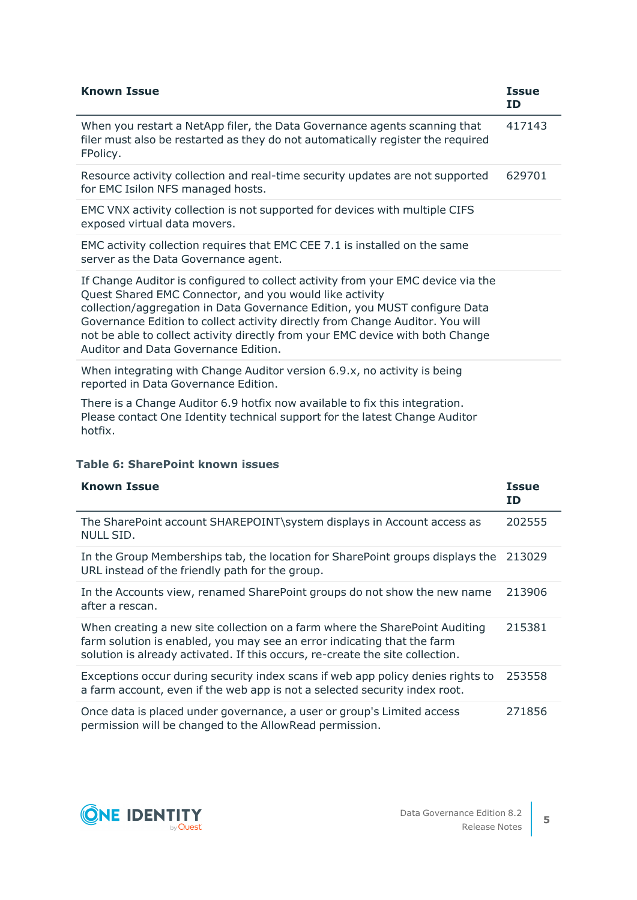| <b>Known Issue</b>                                                                                                                                                                                                                                                                                                                                                                                                                   | <b>Issue</b><br>ID |
|--------------------------------------------------------------------------------------------------------------------------------------------------------------------------------------------------------------------------------------------------------------------------------------------------------------------------------------------------------------------------------------------------------------------------------------|--------------------|
| When you restart a NetApp filer, the Data Governance agents scanning that<br>filer must also be restarted as they do not automatically register the required<br>FPolicy.                                                                                                                                                                                                                                                             | 417143             |
| Resource activity collection and real-time security updates are not supported<br>for EMC Isilon NFS managed hosts.                                                                                                                                                                                                                                                                                                                   | 629701             |
| EMC VNX activity collection is not supported for devices with multiple CIFS<br>exposed virtual data movers.                                                                                                                                                                                                                                                                                                                          |                    |
| EMC activity collection requires that EMC CEE 7.1 is installed on the same<br>server as the Data Governance agent.                                                                                                                                                                                                                                                                                                                   |                    |
| If Change Auditor is configured to collect activity from your EMC device via the<br>Quest Shared EMC Connector, and you would like activity<br>collection/aggregation in Data Governance Edition, you MUST configure Data<br>Governance Edition to collect activity directly from Change Auditor. You will<br>not be able to collect activity directly from your EMC device with both Change<br>Auditor and Data Governance Edition. |                    |
| When integrating with Change Auditor version 6.9.x, no activity is being<br>reported in Data Governance Edition.                                                                                                                                                                                                                                                                                                                     |                    |
| There is a Change Auditor 6.9 hotfix now available to fix this integration.<br>Please contact One Identity technical support for the latest Change Auditor<br>hotfix.                                                                                                                                                                                                                                                                |                    |

### **Table 6: SharePoint known issues**

| <b>Known Issue</b>                                                                                                                                                                                                                      | <b>Issue</b><br>ID |
|-----------------------------------------------------------------------------------------------------------------------------------------------------------------------------------------------------------------------------------------|--------------------|
| The SharePoint account SHAREPOINT\system displays in Account access as<br>NULL SID.                                                                                                                                                     | 202555             |
| In the Group Memberships tab, the location for SharePoint groups displays the<br>URL instead of the friendly path for the group.                                                                                                        | 213029             |
| In the Accounts view, renamed SharePoint groups do not show the new name<br>after a rescan.                                                                                                                                             | 213906             |
| When creating a new site collection on a farm where the SharePoint Auditing<br>farm solution is enabled, you may see an error indicating that the farm<br>solution is already activated. If this occurs, re-create the site collection. | 215381             |
| Exceptions occur during security index scans if web app policy denies rights to<br>a farm account, even if the web app is not a selected security index root.                                                                           | 253558             |
| Once data is placed under governance, a user or group's Limited access<br>permission will be changed to the AllowRead permission.                                                                                                       | 271856             |

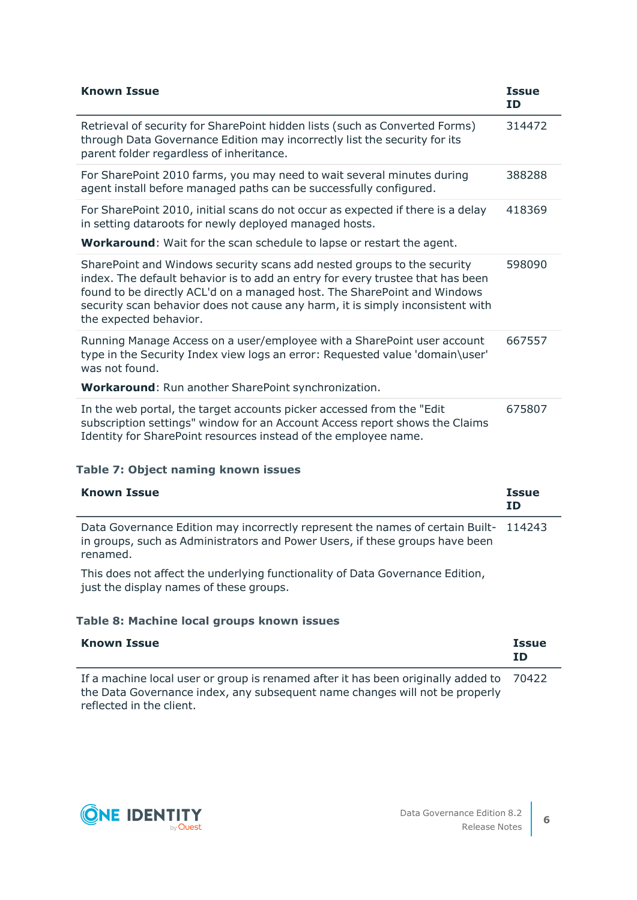| <b>Known Issue</b>                                                                                                                                                                                                                                                                                                                                | <b>Issue</b><br><b>ID</b> |
|---------------------------------------------------------------------------------------------------------------------------------------------------------------------------------------------------------------------------------------------------------------------------------------------------------------------------------------------------|---------------------------|
| Retrieval of security for SharePoint hidden lists (such as Converted Forms)<br>through Data Governance Edition may incorrectly list the security for its<br>parent folder regardless of inheritance.                                                                                                                                              | 314472                    |
| For SharePoint 2010 farms, you may need to wait several minutes during<br>agent install before managed paths can be successfully configured.                                                                                                                                                                                                      | 388288                    |
| For SharePoint 2010, initial scans do not occur as expected if there is a delay<br>in setting dataroots for newly deployed managed hosts.<br>Workaround: Wait for the scan schedule to lapse or restart the agent.                                                                                                                                | 418369                    |
| SharePoint and Windows security scans add nested groups to the security<br>index. The default behavior is to add an entry for every trustee that has been<br>found to be directly ACL'd on a managed host. The SharePoint and Windows<br>security scan behavior does not cause any harm, it is simply inconsistent with<br>the expected behavior. | 598090                    |
| Running Manage Access on a user/employee with a SharePoint user account<br>type in the Security Index view logs an error: Requested value 'domain\user'<br>was not found.<br>Workaround: Run another SharePoint synchronization.                                                                                                                  | 667557                    |
|                                                                                                                                                                                                                                                                                                                                                   |                           |
| In the web portal, the target accounts picker accessed from the "Edit<br>subscription settings" window for an Account Access report shows the Claims<br>Identity for SharePoint resources instead of the employee name.                                                                                                                           | 675807                    |

### **Table 7: Object naming known issues**

| <b>Known Issue</b>                                                                                                                                                              | <b>Issue</b><br>ΙD |
|---------------------------------------------------------------------------------------------------------------------------------------------------------------------------------|--------------------|
| Data Governance Edition may incorrectly represent the names of certain Built-114243<br>in groups, such as Administrators and Power Users, if these groups have been<br>renamed. |                    |
| This does not affect the underlying functionality of Data Governance Edition,<br>just the display names of these groups.                                                        |                    |

### **Table 8: Machine local groups known issues**

| <b>Known Issue</b>                                                                                                                                                                                 | <b>Issue</b><br><b>ID</b> |
|----------------------------------------------------------------------------------------------------------------------------------------------------------------------------------------------------|---------------------------|
| If a machine local user or group is renamed after it has been originally added to 70422<br>the Data Governance index, any subsequent name changes will not be properly<br>reflected in the client. |                           |

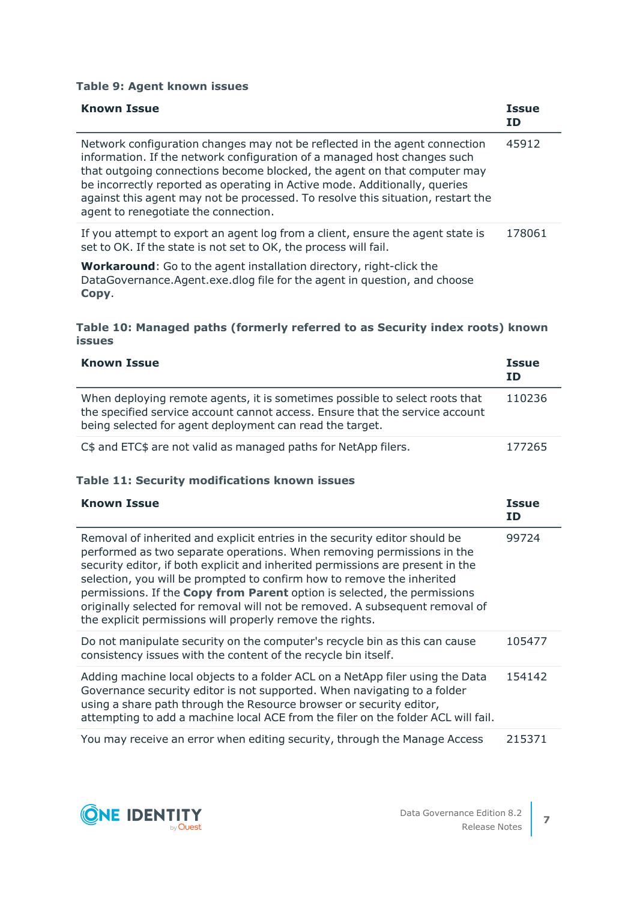### **Table 9: Agent known issues**

| <b>Known Issue</b>                                                                                                                                                                                                                                                                                                                                                                                                                          | <b>Issue</b><br>ID. |
|---------------------------------------------------------------------------------------------------------------------------------------------------------------------------------------------------------------------------------------------------------------------------------------------------------------------------------------------------------------------------------------------------------------------------------------------|---------------------|
| Network configuration changes may not be reflected in the agent connection<br>information. If the network configuration of a managed host changes such<br>that outgoing connections become blocked, the agent on that computer may<br>be incorrectly reported as operating in Active mode. Additionally, queries<br>against this agent may not be processed. To resolve this situation, restart the<br>agent to renegotiate the connection. | 45912               |
| If you attempt to export an agent log from a client, ensure the agent state is<br>set to OK. If the state is not set to OK, the process will fail.                                                                                                                                                                                                                                                                                          | 178061              |
| <b>Workaround:</b> Go to the agent installation directory, right-click the                                                                                                                                                                                                                                                                                                                                                                  |                     |

DataGovernance.Agent.exe.dlog file for the agent in question, and choose **Copy**.

### **Table 10: Managed paths (formerly referred to as Security index roots) known issues**

| <b>Known Issue</b>                                                                                                                                                                                                      | <b>Issue</b><br>ΙD |
|-------------------------------------------------------------------------------------------------------------------------------------------------------------------------------------------------------------------------|--------------------|
| When deploying remote agents, it is sometimes possible to select roots that<br>the specified service account cannot access. Ensure that the service account<br>being selected for agent deployment can read the target. | 110236             |
| C\$ and ETC\$ are not valid as managed paths for NetApp filers.                                                                                                                                                         | 177265             |

### **Table 11: Security modifications known issues**

| <b>Known Issue</b>                                                                                                                                                                                                                                                                                                                                                                                                                                                                                                                        | <b>Issue</b><br>ID |
|-------------------------------------------------------------------------------------------------------------------------------------------------------------------------------------------------------------------------------------------------------------------------------------------------------------------------------------------------------------------------------------------------------------------------------------------------------------------------------------------------------------------------------------------|--------------------|
| Removal of inherited and explicit entries in the security editor should be<br>performed as two separate operations. When removing permissions in the<br>security editor, if both explicit and inherited permissions are present in the<br>selection, you will be prompted to confirm how to remove the inherited<br>permissions. If the Copy from Parent option is selected, the permissions<br>originally selected for removal will not be removed. A subsequent removal of<br>the explicit permissions will properly remove the rights. | 99724              |
| Do not manipulate security on the computer's recycle bin as this can cause<br>consistency issues with the content of the recycle bin itself.                                                                                                                                                                                                                                                                                                                                                                                              | 105477             |
| Adding machine local objects to a folder ACL on a NetApp filer using the Data<br>Governance security editor is not supported. When navigating to a folder<br>using a share path through the Resource browser or security editor,<br>attempting to add a machine local ACE from the filer on the folder ACL will fail.                                                                                                                                                                                                                     | 154142             |
| You may receive an error when editing security, through the Manage Access                                                                                                                                                                                                                                                                                                                                                                                                                                                                 | 215371             |

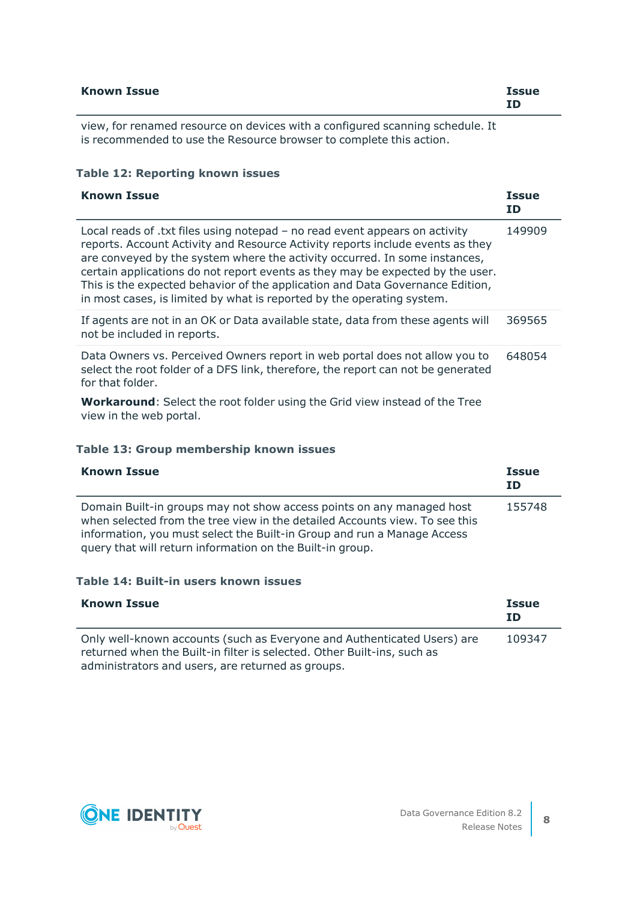| <b>Known Issue</b> |  |   |        |   |  | <b>Issue</b> |
|--------------------|--|---|--------|---|--|--------------|
|                    |  | . | $\sim$ | . |  |              |

view, for renamed resource on devices with a configured scanning schedule. It is recommended to use the Resource browser to complete this action.

### **Table 12: Reporting known issues**

| <b>Known Issue</b>                                                                                                                                                                                                                                                                                                                                                                                                                                                                       | <b>Issue</b><br>ID |
|------------------------------------------------------------------------------------------------------------------------------------------------------------------------------------------------------------------------------------------------------------------------------------------------------------------------------------------------------------------------------------------------------------------------------------------------------------------------------------------|--------------------|
| Local reads of .txt files using notepad - no read event appears on activity<br>reports. Account Activity and Resource Activity reports include events as they<br>are conveyed by the system where the activity occurred. In some instances,<br>certain applications do not report events as they may be expected by the user.<br>This is the expected behavior of the application and Data Governance Edition,<br>in most cases, is limited by what is reported by the operating system. | 149909             |
| If agents are not in an OK or Data available state, data from these agents will<br>not be included in reports.                                                                                                                                                                                                                                                                                                                                                                           | 369565             |
| Data Owners vs. Perceived Owners report in web portal does not allow you to<br>select the root folder of a DFS link, therefore, the report can not be generated<br>for that folder.                                                                                                                                                                                                                                                                                                      | 648054             |
| <b>Workaround:</b> Select the root folder using the Grid view instead of the Tree<br>view in the web portal.                                                                                                                                                                                                                                                                                                                                                                             |                    |

### **Table 13: Group membership known issues**

| <b>Known Issue</b>                                                                                                                                                                                                                                                                           | <b>Issue</b><br>ID |
|----------------------------------------------------------------------------------------------------------------------------------------------------------------------------------------------------------------------------------------------------------------------------------------------|--------------------|
| Domain Built-in groups may not show access points on any managed host<br>when selected from the tree view in the detailed Accounts view. To see this<br>information, you must select the Built-in Group and run a Manage Access<br>query that will return information on the Built-in group. | 155748             |

### **Table 14: Built-in users known issues**

| <b>Known Issue</b>                                                                                                                                 | <b>Issue</b><br>ID |
|----------------------------------------------------------------------------------------------------------------------------------------------------|--------------------|
| Only well-known accounts (such as Everyone and Authenticated Users) are<br>returned when the Built-in filter is selected. Other Built-ins, such as | 109347             |
| administrators and users, are returned as groups.                                                                                                  |                    |

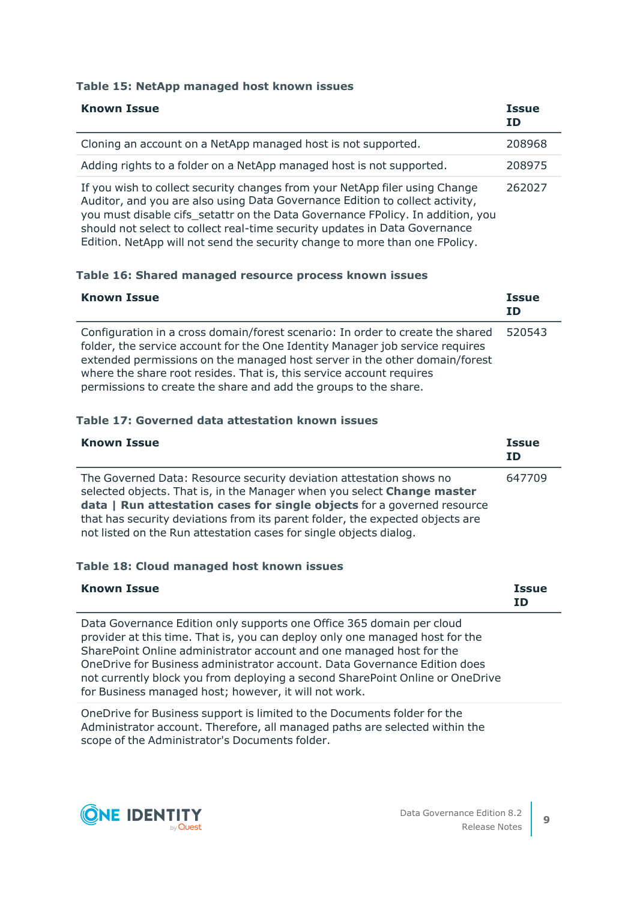### **Table 15: NetApp managed host known issues**

| <b>Known Issue</b>                                                                                                                                                                                                                                                                                                                                                                                         | <b>Issue</b><br><b>ID</b> |
|------------------------------------------------------------------------------------------------------------------------------------------------------------------------------------------------------------------------------------------------------------------------------------------------------------------------------------------------------------------------------------------------------------|---------------------------|
| Cloning an account on a NetApp managed host is not supported.                                                                                                                                                                                                                                                                                                                                              | 208968                    |
| Adding rights to a folder on a NetApp managed host is not supported.                                                                                                                                                                                                                                                                                                                                       | 208975                    |
| If you wish to collect security changes from your NetApp filer using Change<br>Auditor, and you are also using Data Governance Edition to collect activity,<br>you must disable cifs_setattr on the Data Governance FPolicy. In addition, you<br>should not select to collect real-time security updates in Data Governance<br>Edition. NetApp will not send the security change to more than one FPolicy. | 262027                    |

### **Table 16: Shared managed resource process known issues**

| <b>Known Issue</b>                                                                                                                                                                                                                                                                                                                                                                        | <b>Issue</b><br><b>ID</b> |
|-------------------------------------------------------------------------------------------------------------------------------------------------------------------------------------------------------------------------------------------------------------------------------------------------------------------------------------------------------------------------------------------|---------------------------|
| Configuration in a cross domain/forest scenario: In order to create the shared<br>folder, the service account for the One Identity Manager job service requires<br>extended permissions on the managed host server in the other domain/forest<br>where the share root resides. That is, this service account requires<br>permissions to create the share and add the groups to the share. | 520543                    |

### **Table 17: Governed data attestation known issues**

| <b>Known Issue</b>                                                                                                                                                                                                                                                                                                                                                               | <b>Issue</b><br>ΙD |
|----------------------------------------------------------------------------------------------------------------------------------------------------------------------------------------------------------------------------------------------------------------------------------------------------------------------------------------------------------------------------------|--------------------|
| The Governed Data: Resource security deviation attestation shows no<br>selected objects. That is, in the Manager when you select Change master<br>data   Run attestation cases for single objects for a governed resource<br>that has security deviations from its parent folder, the expected objects are<br>not listed on the Run attestation cases for single objects dialog. | 647709             |

### **Table 18: Cloud managed host known issues**

| <b>Known Issue</b>                                                                                                                                    | <b>Issue</b><br><b>ID</b> |
|-------------------------------------------------------------------------------------------------------------------------------------------------------|---------------------------|
| Data Governance Edition only supports one Office 365 domain per cloud<br>provider at this time. That is, you can deploy only one managed host for the |                           |
| SharePoint Online administrator account and one managed host for the                                                                                  |                           |
| OneDrive for Business administrator account. Data Governance Edition does                                                                             |                           |

not currently block you from deploying a second SharePoint Online or OneDrive for Business managed host; however, it will not work.

OneDrive for Business support is limited to the Documents folder for the Administrator account. Therefore, all managed paths are selected within the scope of the Administrator's Documents folder.

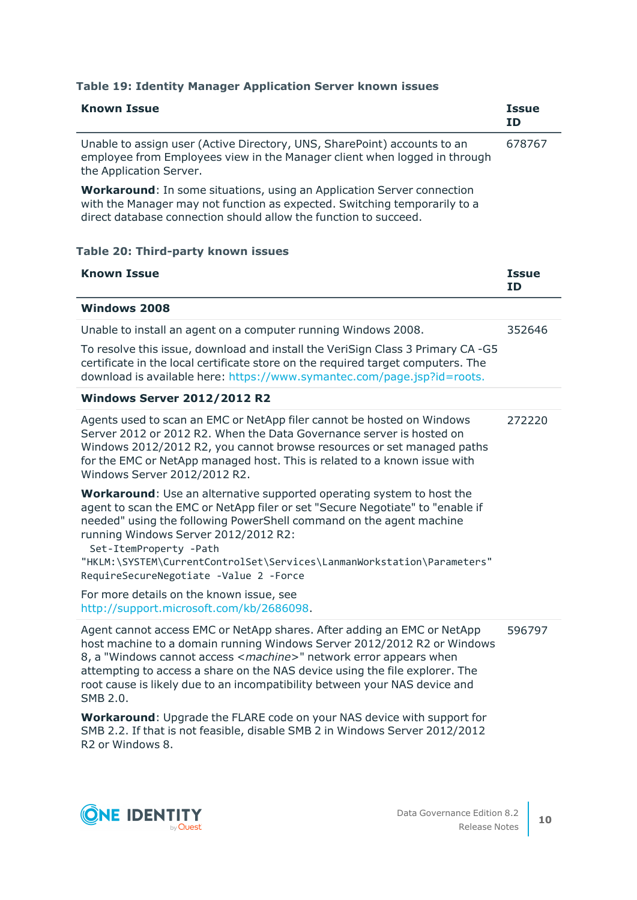| <b>Known Issue</b>                                                                                                                                                                                                                                                                                                                                                                                                         | <b>Issue</b><br><b>ID</b> |
|----------------------------------------------------------------------------------------------------------------------------------------------------------------------------------------------------------------------------------------------------------------------------------------------------------------------------------------------------------------------------------------------------------------------------|---------------------------|
| Unable to assign user (Active Directory, UNS, SharePoint) accounts to an<br>employee from Employees view in the Manager client when logged in through<br>the Application Server.                                                                                                                                                                                                                                           | 678767                    |
| <b>Workaround:</b> In some situations, using an Application Server connection<br>with the Manager may not function as expected. Switching temporarily to a<br>direct database connection should allow the function to succeed.                                                                                                                                                                                             |                           |
| <b>Table 20: Third-party known issues</b>                                                                                                                                                                                                                                                                                                                                                                                  |                           |
| <b>Known Issue</b>                                                                                                                                                                                                                                                                                                                                                                                                         | <b>Issue</b><br><b>ID</b> |
| <b>Windows 2008</b>                                                                                                                                                                                                                                                                                                                                                                                                        |                           |
| Unable to install an agent on a computer running Windows 2008.                                                                                                                                                                                                                                                                                                                                                             | 352646                    |
| To resolve this issue, download and install the VeriSign Class 3 Primary CA -G5<br>certificate in the local certificate store on the required target computers. The<br>download is available here: https://www.symantec.com/page.jsp?id=roots.                                                                                                                                                                             |                           |
| <b>Windows Server 2012/2012 R2</b>                                                                                                                                                                                                                                                                                                                                                                                         |                           |
| Agents used to scan an EMC or NetApp filer cannot be hosted on Windows<br>Server 2012 or 2012 R2. When the Data Governance server is hosted on<br>Windows 2012/2012 R2, you cannot browse resources or set managed paths<br>for the EMC or NetApp managed host. This is related to a known issue with<br>Windows Server 2012/2012 R2.                                                                                      | 272220                    |
| <b>Workaround:</b> Use an alternative supported operating system to host the<br>agent to scan the EMC or NetApp filer or set "Secure Negotiate" to "enable if<br>needed" using the following PowerShell command on the agent machine<br>running Windows Server 2012/2012 R2:<br>Set-ItemProperty -Path<br>"HKLM:\SYSTEM\CurrentControlSet\Services\LanmanWorkstation\Parameters"<br>RequireSecureNegotiate -Value 2 -Force |                           |
| For more details on the known issue, see<br>http://support.microsoft.com/kb/2686098.                                                                                                                                                                                                                                                                                                                                       |                           |
| Agent cannot access EMC or NetApp shares. After adding an EMC or NetApp<br>host machine to a domain running Windows Server 2012/2012 R2 or Windows<br>8, a "Windows cannot access <machine>" network error appears when<br/>attempting to access a share on the NAS device using the file explorer. The<br/>root cause is likely due to an incompatibility between your NAS device and<br/>SMB 2.0.</machine>              | 596797                    |
| Workaround: Upgrade the FLARE code on your NAS device with support for<br>SMB 2.2. If that is not feasible, disable SMB 2 in Windows Server 2012/2012<br>R2 or Windows 8.                                                                                                                                                                                                                                                  |                           |

### **Table 19: Identity Manager Application Server known issues**

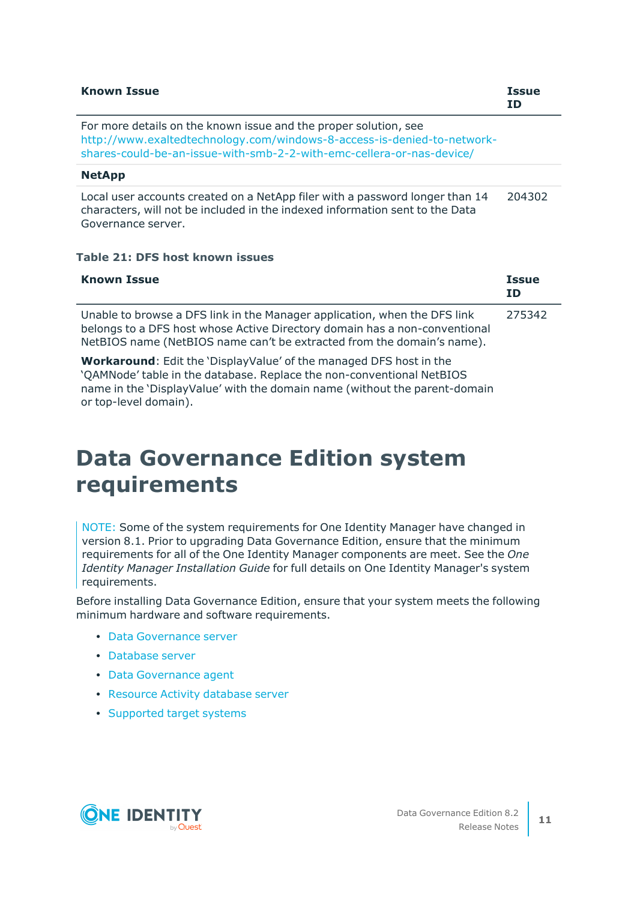| <b>Known Issue</b>                                                                                                                                                                                                   | <b>Issue</b><br>ΙD |
|----------------------------------------------------------------------------------------------------------------------------------------------------------------------------------------------------------------------|--------------------|
| For more details on the known issue and the proper solution, see<br>http://www.exaltedtechnology.com/windows-8-access-is-denied-to-network-<br>shares-could-be-an-issue-with-smb-2-2-with-emc-cellera-or-nas-device/ |                    |
| <b>NetApp</b>                                                                                                                                                                                                        |                    |
| Local user accounts created on a NetApp filer with a password longer than 14<br>characters, will not be included in the indexed information sent to the Data<br>Governance server.                                   | 204302             |

### **Table 21: DFS host known issues**

| <b>Known Issue</b>                                                                                                                                                                                                                | <b>Issue</b><br><b>ID</b> |
|-----------------------------------------------------------------------------------------------------------------------------------------------------------------------------------------------------------------------------------|---------------------------|
| Unable to browse a DFS link in the Manager application, when the DFS link<br>belongs to a DFS host whose Active Directory domain has a non-conventional<br>NetBIOS name (NetBIOS name can't be extracted from the domain's name). | 275342                    |
| <b>Workaround:</b> Edit the 'DisplayValue' of the managed DFS host in the<br>'QAMNode' table in the database. Replace the non-conventional NetBIOS<br>name in the 'DisplayValue' with the domain name (without the parent-domain  |                           |

## **Data Governance Edition system requirements**

NOTE: Some of the system requirements for One Identity Manager have changed in version 8.1. Prior to upgrading Data Governance Edition, ensure that the minimum requirements for all of the One Identity Manager components are meet. See the *One Identity Manager Installation Guide* for full details on One Identity Manager's system requirements.

Before installing Data Governance Edition, ensure that your system meets the following minimum hardware and software requirements.

- Data [Governance](#page-11-0) server
- [Database](#page-11-1) server

or top-level domain).

- Data [Governance](#page-16-0) agent
- [Resource](#page-17-1) Activity database server
- [Supported](#page-17-0) target systems

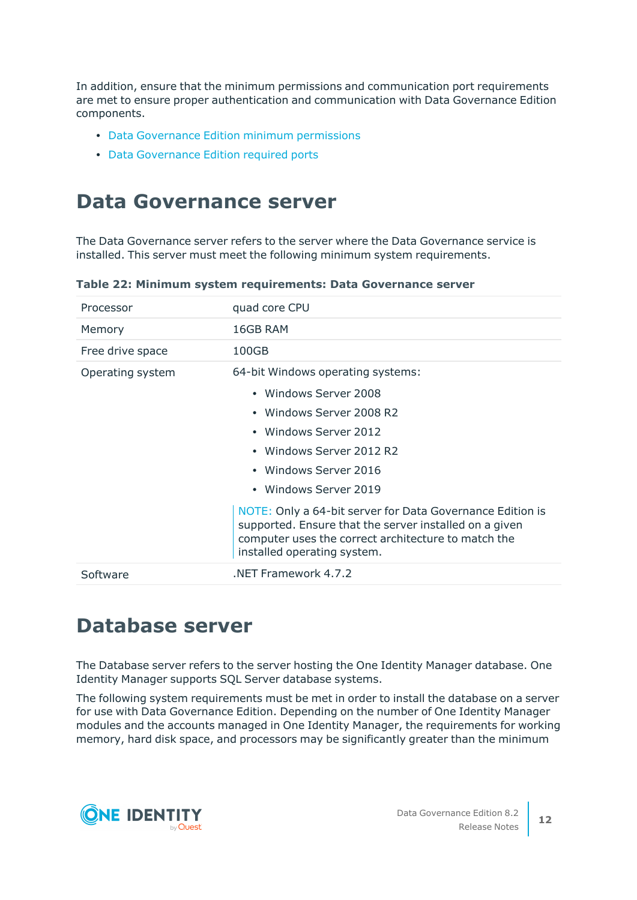In addition, ensure that the minimum permissions and communication port requirements are met to ensure proper authentication and communication with Data Governance Edition components.

- Data [Governance](#page-22-0) Edition minimum permissions
- Data [Governance](#page-24-0) Edition required ports

### <span id="page-11-0"></span>**Data Governance server**

The Data Governance server refers to the server where the Data Governance service is installed. This server must meet the following minimum system requirements.

| Processor        | quad core CPU                                                                                                                                                                                                                                                                                                        |
|------------------|----------------------------------------------------------------------------------------------------------------------------------------------------------------------------------------------------------------------------------------------------------------------------------------------------------------------|
| Memory           | 16GB RAM                                                                                                                                                                                                                                                                                                             |
| Free drive space | 100GB                                                                                                                                                                                                                                                                                                                |
| Operating system | 64-bit Windows operating systems:<br>• Windows Server 2008<br>• Windows Server 2008 R2<br>• Windows Server 2012<br>• Windows Server 2012 R2<br>• Windows Server 2016<br>• Windows Server 2019<br>NOTE: Only a 64-bit server for Data Governance Edition is<br>supported. Ensure that the server installed on a given |
|                  | computer uses the correct architecture to match the<br>installed operating system.                                                                                                                                                                                                                                   |
| Software         | NET Framework 4.7.2                                                                                                                                                                                                                                                                                                  |

**Table 22: Minimum system requirements: Data Governance server**

### <span id="page-11-1"></span>**Database server**

The Database server refers to the server hosting the One Identity Manager database. One Identity Manager supports SQL Server database systems.

The following system requirements must be met in order to install the database on a server for use with Data Governance Edition. Depending on the number of One Identity Manager modules and the accounts managed in One Identity Manager, the requirements for working memory, hard disk space, and processors may be significantly greater than the minimum

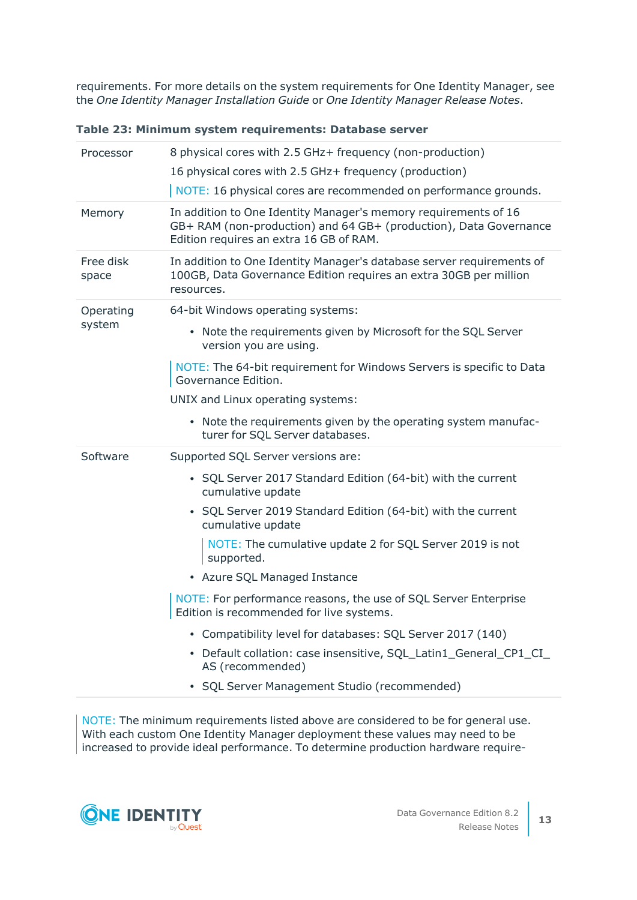requirements. For more details on the system requirements for One Identity Manager, see the *One Identity Manager Installation Guide* or *One Identity Manager Release Notes*.

| Table 23: Minimum system requirements: Database server |  |  |  |
|--------------------------------------------------------|--|--|--|
|--------------------------------------------------------|--|--|--|

| Processor          | 8 physical cores with 2.5 GHz+ frequency (non-production)<br>16 physical cores with 2.5 GHz+ frequency (production)<br>NOTE: 16 physical cores are recommended on performance grounds. |
|--------------------|----------------------------------------------------------------------------------------------------------------------------------------------------------------------------------------|
| Memory             | In addition to One Identity Manager's memory requirements of 16<br>GB+ RAM (non-production) and 64 GB+ (production), Data Governance<br>Edition requires an extra 16 GB of RAM.        |
| Free disk<br>space | In addition to One Identity Manager's database server requirements of<br>100GB, Data Governance Edition requires an extra 30GB per million<br>resources.                               |
| Operating          | 64-bit Windows operating systems:                                                                                                                                                      |
| system             | • Note the requirements given by Microsoft for the SQL Server<br>version you are using.                                                                                                |
|                    | NOTE: The 64-bit requirement for Windows Servers is specific to Data<br>Governance Edition.                                                                                            |
|                    | UNIX and Linux operating systems:                                                                                                                                                      |
|                    | • Note the requirements given by the operating system manufac-                                                                                                                         |
|                    | turer for SQL Server databases.                                                                                                                                                        |
| Software           | Supported SQL Server versions are:                                                                                                                                                     |
|                    | • SQL Server 2017 Standard Edition (64-bit) with the current<br>cumulative update                                                                                                      |
|                    | • SQL Server 2019 Standard Edition (64-bit) with the current<br>cumulative update                                                                                                      |
|                    | NOTE: The cumulative update 2 for SQL Server 2019 is not<br>supported.                                                                                                                 |
|                    | • Azure SQL Managed Instance                                                                                                                                                           |
|                    | NOTE: For performance reasons, the use of SQL Server Enterprise<br>Edition is recommended for live systems.                                                                            |
|                    | Compatibility level for databases: SQL Server 2017 (140)                                                                                                                               |
|                    | • Default collation: case insensitive, SQL_Latin1_General_CP1_CI_<br>AS (recommended)                                                                                                  |
|                    | SQL Server Management Studio (recommended)                                                                                                                                             |

NOTE: The minimum requirements listed above are considered to be for general use. With each custom One Identity Manager deployment these values may need to be increased to provide ideal performance. To determine production hardware require-

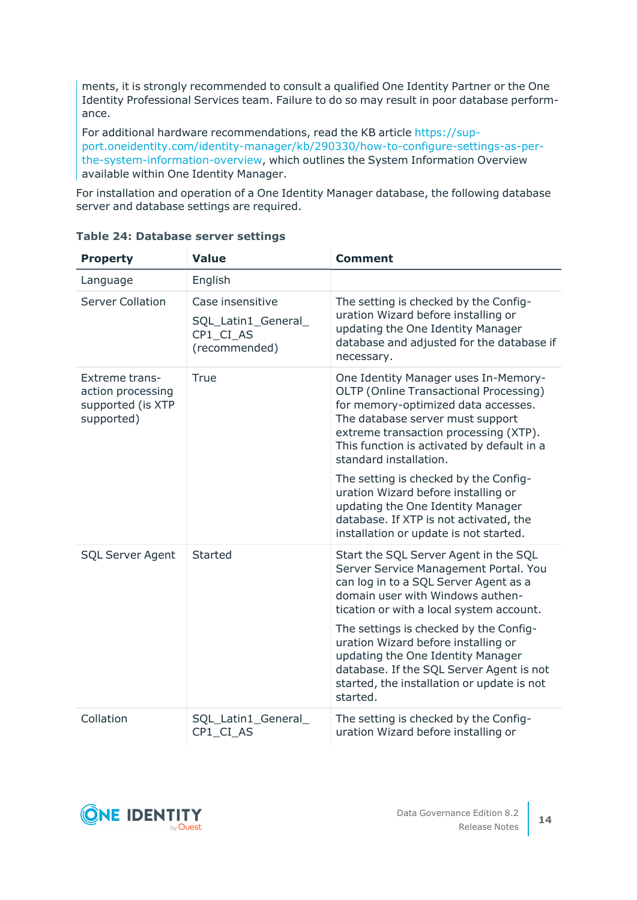ments, it is strongly recommended to consult a qualified One Identity Partner or the One Identity Professional Services team. Failure to do so may result in poor database performance.

For additional hardware recommendations, read the KB article [https://sup](https://sup-port.oneidentity.com/identity-manager/kb/290330/how-to-configure-settings-as-per-the-system-information-overview)[port.oneidentity.com/identity-manager/kb/290330/how-to-configure-settings-as-per](https://sup-port.oneidentity.com/identity-manager/kb/290330/how-to-configure-settings-as-per-the-system-information-overview)[the-system-information-overview](https://sup-port.oneidentity.com/identity-manager/kb/290330/how-to-configure-settings-as-per-the-system-information-overview), which outlines the System Information Overview available within One Identity Manager.

For installation and operation of a One Identity Manager database, the following database server and database settings are required.

| <b>Property</b>                                                               | <b>Value</b>                                                          | <b>Comment</b>                                                                                                                                                                                                                                                             |  |  |
|-------------------------------------------------------------------------------|-----------------------------------------------------------------------|----------------------------------------------------------------------------------------------------------------------------------------------------------------------------------------------------------------------------------------------------------------------------|--|--|
| Language                                                                      | English                                                               |                                                                                                                                                                                                                                                                            |  |  |
| <b>Server Collation</b>                                                       | Case insensitive<br>SQL_Latin1_General_<br>CP1_CI_AS<br>(recommended) | The setting is checked by the Config-<br>uration Wizard before installing or<br>updating the One Identity Manager<br>database and adjusted for the database if<br>necessary.                                                                                               |  |  |
| <b>Extreme trans-</b><br>action processing<br>supported (is XTP<br>supported) | <b>True</b>                                                           | One Identity Manager uses In-Memory-<br>OLTP (Online Transactional Processing)<br>for memory-optimized data accesses.<br>The database server must support<br>extreme transaction processing (XTP).<br>This function is activated by default in a<br>standard installation. |  |  |
|                                                                               |                                                                       | The setting is checked by the Config-<br>uration Wizard before installing or<br>updating the One Identity Manager<br>database. If XTP is not activated, the<br>installation or update is not started.                                                                      |  |  |
| <b>SQL Server Agent</b>                                                       | <b>Started</b>                                                        | Start the SQL Server Agent in the SQL<br>Server Service Management Portal. You<br>can log in to a SQL Server Agent as a<br>domain user with Windows authen-<br>tication or with a local system account.                                                                    |  |  |
|                                                                               |                                                                       | The settings is checked by the Config-<br>uration Wizard before installing or<br>updating the One Identity Manager<br>database. If the SQL Server Agent is not<br>started, the installation or update is not<br>started.                                                   |  |  |
| Collation                                                                     | SQL_Latin1_General_<br>CP1_CI_AS                                      | The setting is checked by the Config-<br>uration Wizard before installing or                                                                                                                                                                                               |  |  |

### **Table 24: Database server settings**

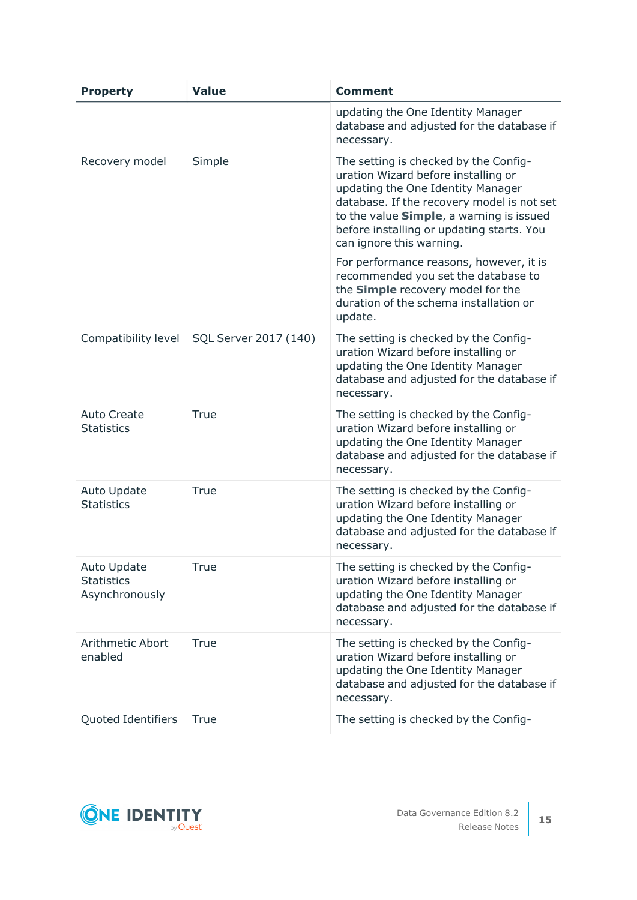| <b>Property</b>                                           | <b>Value</b>          | <b>Comment</b>                                                                                                                                                                                                                                                                       |
|-----------------------------------------------------------|-----------------------|--------------------------------------------------------------------------------------------------------------------------------------------------------------------------------------------------------------------------------------------------------------------------------------|
|                                                           |                       | updating the One Identity Manager<br>database and adjusted for the database if<br>necessary.                                                                                                                                                                                         |
| Recovery model                                            | Simple                | The setting is checked by the Config-<br>uration Wizard before installing or<br>updating the One Identity Manager<br>database. If the recovery model is not set<br>to the value Simple, a warning is issued<br>before installing or updating starts. You<br>can ignore this warning. |
|                                                           |                       | For performance reasons, however, it is<br>recommended you set the database to<br>the Simple recovery model for the<br>duration of the schema installation or<br>update.                                                                                                             |
| Compatibility level                                       | SQL Server 2017 (140) | The setting is checked by the Config-<br>uration Wizard before installing or<br>updating the One Identity Manager<br>database and adjusted for the database if<br>necessary.                                                                                                         |
| <b>Auto Create</b><br><b>Statistics</b>                   | <b>True</b>           | The setting is checked by the Config-<br>uration Wizard before installing or<br>updating the One Identity Manager<br>database and adjusted for the database if<br>necessary.                                                                                                         |
| <b>Auto Update</b><br><b>Statistics</b>                   | <b>True</b>           | The setting is checked by the Config-<br>uration Wizard before installing or<br>updating the One Identity Manager<br>database and adjusted for the database if<br>necessary.                                                                                                         |
| <b>Auto Update</b><br><b>Statistics</b><br>Asynchronously | True                  | The setting is checked by the Config-<br>uration Wizard before installing or<br>updating the One Identity Manager<br>database and adjusted for the database if<br>necessary.                                                                                                         |
| <b>Arithmetic Abort</b><br>enabled                        | <b>True</b>           | The setting is checked by the Config-<br>uration Wizard before installing or<br>updating the One Identity Manager<br>database and adjusted for the database if<br>necessary.                                                                                                         |
| Quoted Identifiers                                        | <b>True</b>           | The setting is checked by the Config-                                                                                                                                                                                                                                                |

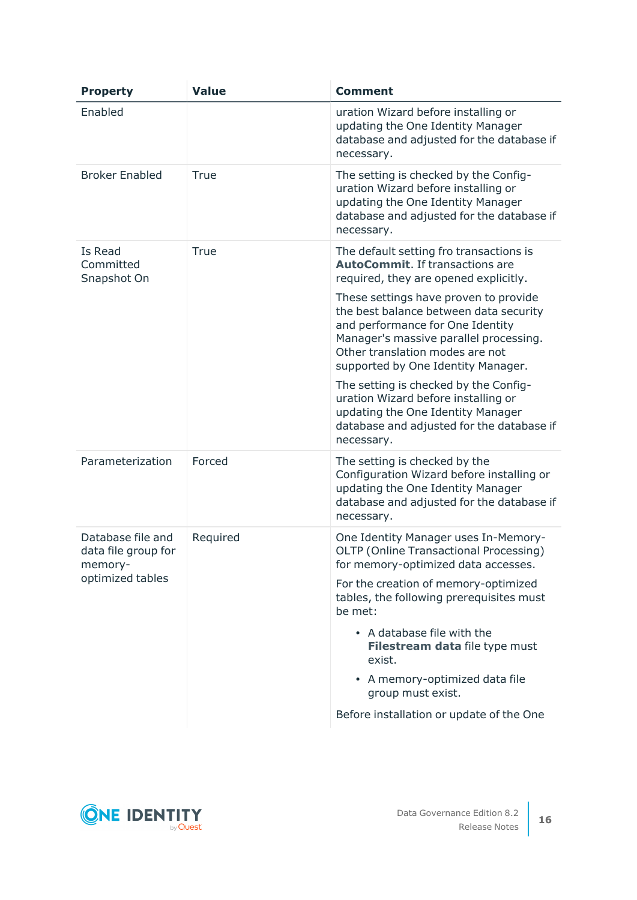| <b>Property</b>                                     | <b>Value</b> | <b>Comment</b>                                                                                                                                                                                                                         |
|-----------------------------------------------------|--------------|----------------------------------------------------------------------------------------------------------------------------------------------------------------------------------------------------------------------------------------|
| Enabled                                             |              | uration Wizard before installing or<br>updating the One Identity Manager<br>database and adjusted for the database if<br>necessary.                                                                                                    |
| <b>Broker Enabled</b>                               | True         | The setting is checked by the Config-<br>uration Wizard before installing or<br>updating the One Identity Manager<br>database and adjusted for the database if<br>necessary.                                                           |
| Is Read<br>Committed<br>Snapshot On                 | True         | The default setting fro transactions is<br><b>AutoCommit.</b> If transactions are<br>required, they are opened explicitly.                                                                                                             |
|                                                     |              | These settings have proven to provide<br>the best balance between data security<br>and performance for One Identity<br>Manager's massive parallel processing.<br>Other translation modes are not<br>supported by One Identity Manager. |
|                                                     |              | The setting is checked by the Config-<br>uration Wizard before installing or<br>updating the One Identity Manager<br>database and adjusted for the database if<br>necessary.                                                           |
| Parameterization                                    | Forced       | The setting is checked by the<br>Configuration Wizard before installing or<br>updating the One Identity Manager<br>database and adjusted for the database if<br>necessary.                                                             |
| Database file and<br>data file group for<br>memory- | Required     | One Identity Manager uses In-Memory-<br>OLTP (Online Transactional Processing)<br>for memory-optimized data accesses.                                                                                                                  |
| optimized tables                                    |              | For the creation of memory-optimized<br>tables, the following prerequisites must<br>be met:                                                                                                                                            |
|                                                     |              | • A database file with the<br>Filestream data file type must<br>exist.                                                                                                                                                                 |
|                                                     |              | • A memory-optimized data file<br>group must exist.                                                                                                                                                                                    |
|                                                     |              | Before installation or update of the One                                                                                                                                                                                               |

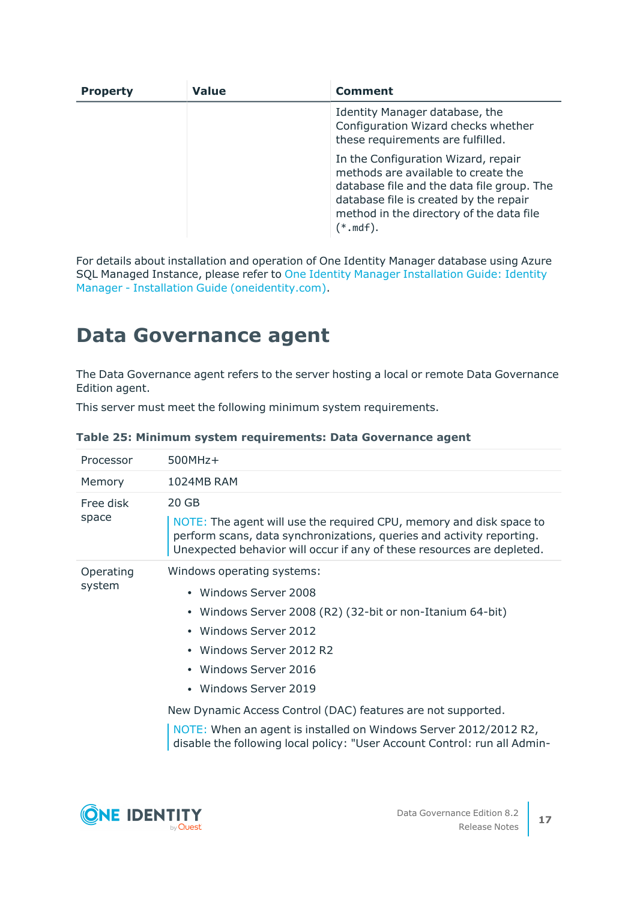| <b>Property</b> | <b>Value</b> | <b>Comment</b>                                                                                                                                                                                                                        |
|-----------------|--------------|---------------------------------------------------------------------------------------------------------------------------------------------------------------------------------------------------------------------------------------|
|                 |              | Identity Manager database, the<br>Configuration Wizard checks whether<br>these requirements are fulfilled.                                                                                                                            |
|                 |              | In the Configuration Wizard, repair<br>methods are available to create the<br>database file and the data file group. The<br>database file is created by the repair<br>method in the directory of the data file<br>$(*.\mathsf{mdf}).$ |

For details about installation and operation of One Identity Manager database using Azure SQL Managed Instance, please refer to One Identity Manager [Installation](https://support.oneidentity.com/technical-documents/identity-manager/8.1.5/installation-guide) Guide: Identity Manager - Installation Guide [\(oneidentity.com\)](https://support.oneidentity.com/technical-documents/identity-manager/8.1.5/installation-guide).

## <span id="page-16-0"></span>**Data Governance agent**

The Data Governance agent refers to the server hosting a local or remote Data Governance Edition agent.

|  |  | This server must meet the following minimum system requirements. |
|--|--|------------------------------------------------------------------|
|  |  |                                                                  |

| Processor           | $500MHz+$                                                                                                                                                                                                                                                                                                                                                                                                                                |
|---------------------|------------------------------------------------------------------------------------------------------------------------------------------------------------------------------------------------------------------------------------------------------------------------------------------------------------------------------------------------------------------------------------------------------------------------------------------|
| Memory              | 1024MB RAM                                                                                                                                                                                                                                                                                                                                                                                                                               |
| Free disk<br>space  | 20 GB<br>NOTE: The agent will use the required CPU, memory and disk space to<br>perform scans, data synchronizations, queries and activity reporting.<br>Unexpected behavior will occur if any of these resources are depleted.                                                                                                                                                                                                          |
| Operating<br>system | Windows operating systems:<br>• Windows Server 2008<br>• Windows Server 2008 (R2) (32-bit or non-Itanium 64-bit)<br>• Windows Server 2012<br>• Windows Server 2012 R2<br>• Windows Server 2016<br>• Windows Server 2019<br>New Dynamic Access Control (DAC) features are not supported.<br>NOTE: When an agent is installed on Windows Server 2012/2012 R2,<br>disable the following local policy: "User Account Control: run all Admin- |

**Table 25: Minimum system requirements: Data Governance agent**

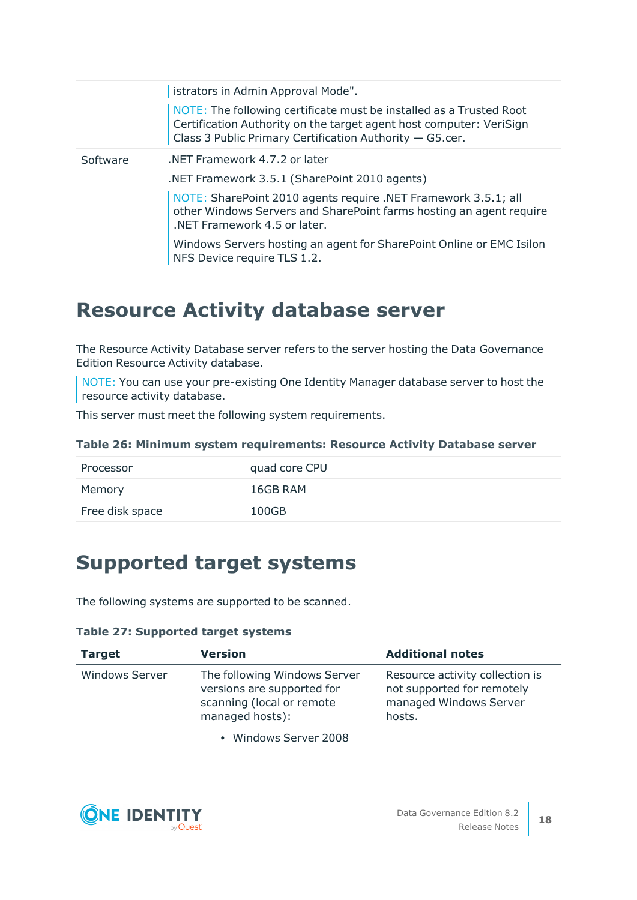|          | istrators in Admin Approval Mode".                                                                                                                                                                     |
|----------|--------------------------------------------------------------------------------------------------------------------------------------------------------------------------------------------------------|
|          | NOTE: The following certificate must be installed as a Trusted Root<br>Certification Authority on the target agent host computer: VeriSign<br>Class 3 Public Primary Certification Authority - G5.cer. |
| Software | .NET Framework 4.7.2 or later                                                                                                                                                                          |
|          | .NET Framework 3.5.1 (SharePoint 2010 agents)                                                                                                                                                          |
|          | NOTE: SharePoint 2010 agents require .NET Framework 3.5.1; all<br>other Windows Servers and SharePoint farms hosting an agent require<br>.NET Framework 4.5 or later.                                  |
|          | Windows Servers hosting an agent for SharePoint Online or EMC Isilon<br>NFS Device require TLS 1.2.                                                                                                    |

### <span id="page-17-1"></span>**Resource Activity database server**

The Resource Activity Database server refers to the server hosting the Data Governance Edition Resource Activity database.

NOTE: You can use your pre-existing One Identity Manager database server to host the resource activity database.

This server must meet the following system requirements.

| Table 26: Minimum system requirements: Resource Activity Database server |  |  |  |  |  |  |
|--------------------------------------------------------------------------|--|--|--|--|--|--|
|--------------------------------------------------------------------------|--|--|--|--|--|--|

| Processor       | quad core CPU |
|-----------------|---------------|
| Memory          | 16GB RAM      |
| Free disk space | 100GB         |

### <span id="page-17-0"></span>**Supported target systems**

The following systems are supported to be scanned.

### **Table 27: Supported target systems**

| <b>Target</b>         | <b>Version</b>                                                                                             | <b>Additional notes</b>                                                                           |
|-----------------------|------------------------------------------------------------------------------------------------------------|---------------------------------------------------------------------------------------------------|
| <b>Windows Server</b> | The following Windows Server<br>versions are supported for<br>scanning (local or remote<br>managed hosts): | Resource activity collection is<br>not supported for remotely<br>managed Windows Server<br>hosts. |

• Windows Server 2008

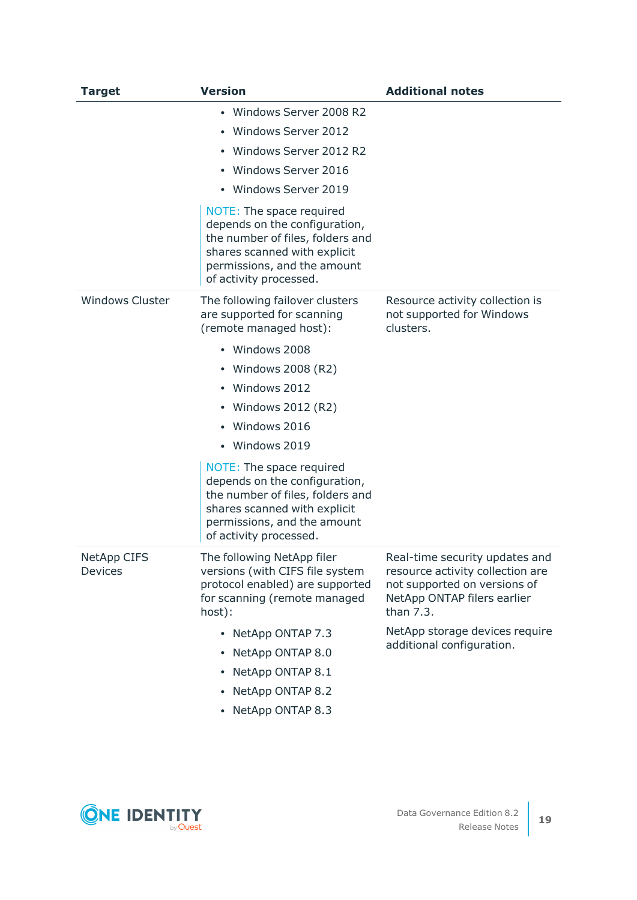| <b>Target</b>          | <b>Version</b>                                                                                                                                                                         | <b>Additional notes</b>                                                                                                                        |
|------------------------|----------------------------------------------------------------------------------------------------------------------------------------------------------------------------------------|------------------------------------------------------------------------------------------------------------------------------------------------|
|                        | • Windows Server 2008 R2                                                                                                                                                               |                                                                                                                                                |
|                        | • Windows Server 2012                                                                                                                                                                  |                                                                                                                                                |
|                        | • Windows Server 2012 R2                                                                                                                                                               |                                                                                                                                                |
|                        | • Windows Server 2016                                                                                                                                                                  |                                                                                                                                                |
|                        | • Windows Server 2019                                                                                                                                                                  |                                                                                                                                                |
|                        | NOTE: The space required<br>depends on the configuration,<br>the number of files, folders and<br>shares scanned with explicit<br>permissions, and the amount<br>of activity processed. |                                                                                                                                                |
| <b>Windows Cluster</b> | The following failover clusters<br>are supported for scanning<br>(remote managed host):                                                                                                | Resource activity collection is<br>not supported for Windows<br>clusters.                                                                      |
|                        | • Windows 2008                                                                                                                                                                         |                                                                                                                                                |
|                        | • Windows 2008 (R2)                                                                                                                                                                    |                                                                                                                                                |
|                        | • Windows 2012                                                                                                                                                                         |                                                                                                                                                |
|                        | • Windows 2012 (R2)                                                                                                                                                                    |                                                                                                                                                |
|                        | Windows 2016                                                                                                                                                                           |                                                                                                                                                |
|                        | • Windows 2019                                                                                                                                                                         |                                                                                                                                                |
|                        | NOTE: The space required<br>depends on the configuration,<br>the number of files, folders and<br>shares scanned with explicit<br>permissions, and the amount<br>of activity processed. |                                                                                                                                                |
| NetApp CIFS<br>Devices | The following NetApp filer<br>versions (with CIFS file system<br>protocol enabled) are supported<br>for scanning (remote managed<br>host):                                             | Real-time security updates and<br>resource activity collection are<br>not supported on versions of<br>NetApp ONTAP filers earlier<br>than 7.3. |
|                        | • NetApp ONTAP 7.3                                                                                                                                                                     | NetApp storage devices require                                                                                                                 |
|                        | • NetApp ONTAP 8.0                                                                                                                                                                     | additional configuration.                                                                                                                      |
|                        | NetApp ONTAP 8.1                                                                                                                                                                       |                                                                                                                                                |
|                        | NetApp ONTAP 8.2<br>٠                                                                                                                                                                  |                                                                                                                                                |
|                        | • NetApp ONTAP 8.3                                                                                                                                                                     |                                                                                                                                                |

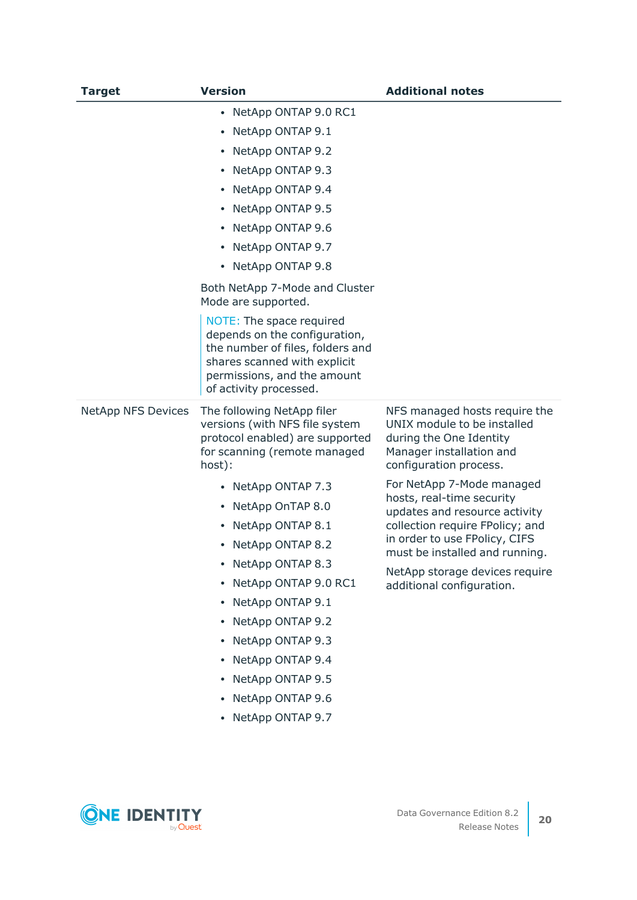| <b>Target</b>             | <b>Version</b>                                                                                                                                                                         | <b>Additional notes</b>                                                                                                                       |
|---------------------------|----------------------------------------------------------------------------------------------------------------------------------------------------------------------------------------|-----------------------------------------------------------------------------------------------------------------------------------------------|
|                           | • NetApp ONTAP 9.0 RC1                                                                                                                                                                 |                                                                                                                                               |
|                           | • NetApp ONTAP 9.1                                                                                                                                                                     |                                                                                                                                               |
|                           | • NetApp ONTAP 9.2                                                                                                                                                                     |                                                                                                                                               |
|                           | • NetApp ONTAP 9.3                                                                                                                                                                     |                                                                                                                                               |
|                           | • NetApp ONTAP 9.4                                                                                                                                                                     |                                                                                                                                               |
|                           | • NetApp ONTAP 9.5                                                                                                                                                                     |                                                                                                                                               |
|                           | • NetApp ONTAP 9.6                                                                                                                                                                     |                                                                                                                                               |
|                           | • NetApp ONTAP 9.7                                                                                                                                                                     |                                                                                                                                               |
|                           | • NetApp ONTAP 9.8                                                                                                                                                                     |                                                                                                                                               |
|                           | Both NetApp 7-Mode and Cluster<br>Mode are supported.                                                                                                                                  |                                                                                                                                               |
|                           | NOTE: The space required<br>depends on the configuration,<br>the number of files, folders and<br>shares scanned with explicit<br>permissions, and the amount<br>of activity processed. |                                                                                                                                               |
| <b>NetApp NFS Devices</b> | The following NetApp filer<br>versions (with NFS file system<br>protocol enabled) are supported<br>for scanning (remote managed<br>host):                                              | NFS managed hosts require the<br>UNIX module to be installed<br>during the One Identity<br>Manager installation and<br>configuration process. |
|                           | • NetApp ONTAP 7.3                                                                                                                                                                     | For NetApp 7-Mode managed                                                                                                                     |
|                           | • NetApp OnTAP 8.0                                                                                                                                                                     | hosts, real-time security<br>updates and resource activity                                                                                    |
|                           | • NetApp ONTAP 8.1                                                                                                                                                                     | collection require FPolicy; and                                                                                                               |
|                           | • NetApp ONTAP 8.2                                                                                                                                                                     | in order to use FPolicy, CIFS<br>must be installed and running.                                                                               |
|                           | • NetApp ONTAP 8.3                                                                                                                                                                     | NetApp storage devices require                                                                                                                |
|                           | • NetApp ONTAP 9.0 RC1                                                                                                                                                                 | additional configuration.                                                                                                                     |
|                           | • NetApp ONTAP 9.1                                                                                                                                                                     |                                                                                                                                               |
|                           | • NetApp ONTAP 9.2                                                                                                                                                                     |                                                                                                                                               |
|                           | • NetApp ONTAP 9.3                                                                                                                                                                     |                                                                                                                                               |
|                           | • NetApp ONTAP 9.4                                                                                                                                                                     |                                                                                                                                               |
|                           | • NetApp ONTAP 9.5                                                                                                                                                                     |                                                                                                                                               |
|                           | • NetApp ONTAP 9.6                                                                                                                                                                     |                                                                                                                                               |
|                           | • NetApp ONTAP 9.7                                                                                                                                                                     |                                                                                                                                               |

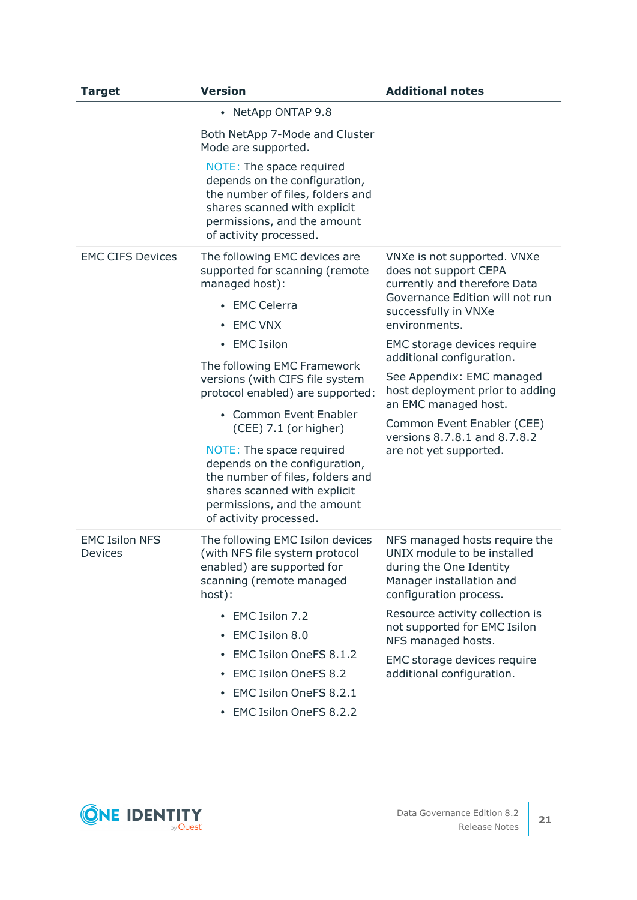| <b>Target</b>                           | <b>Version</b>                                                                                                                                                                         | <b>Additional notes</b>                                                                                                                         |
|-----------------------------------------|----------------------------------------------------------------------------------------------------------------------------------------------------------------------------------------|-------------------------------------------------------------------------------------------------------------------------------------------------|
|                                         | • NetApp ONTAP 9.8                                                                                                                                                                     |                                                                                                                                                 |
|                                         | Both NetApp 7-Mode and Cluster<br>Mode are supported.                                                                                                                                  |                                                                                                                                                 |
|                                         | NOTE: The space required<br>depends on the configuration,<br>the number of files, folders and<br>shares scanned with explicit<br>permissions, and the amount<br>of activity processed. |                                                                                                                                                 |
| <b>EMC CIFS Devices</b>                 | The following EMC devices are<br>supported for scanning (remote<br>managed host):<br>• EMC Celerra                                                                                     | VNXe is not supported. VNXe<br>does not support CEPA<br>currently and therefore Data<br>Governance Edition will not run<br>successfully in VNXe |
|                                         | <b>EMC VNX</b><br>$\bullet$                                                                                                                                                            | environments.                                                                                                                                   |
|                                         | • EMC Isilon                                                                                                                                                                           | EMC storage devices require<br>additional configuration.                                                                                        |
|                                         | The following EMC Framework<br>versions (with CIFS file system<br>protocol enabled) are supported:                                                                                     | See Appendix: EMC managed<br>host deployment prior to adding                                                                                    |
|                                         | • Common Event Enabler<br>(CEE) 7.1 (or higher)                                                                                                                                        | an EMC managed host.<br>Common Event Enabler (CEE)<br>versions 8.7.8.1 and 8.7.8.2<br>are not yet supported.                                    |
|                                         | NOTE: The space required<br>depends on the configuration,<br>the number of files, folders and<br>shares scanned with explicit<br>permissions, and the amount<br>of activity processed. |                                                                                                                                                 |
| <b>EMC Isilon NFS</b><br><b>Devices</b> | The following EMC Isilon devices<br>(with NFS file system protocol<br>enabled) are supported for<br>scanning (remote managed<br>host):                                                 | NFS managed hosts require the<br>UNIX module to be installed<br>during the One Identity<br>Manager installation and<br>configuration process.   |
|                                         | • EMC Isilon 7.2<br>EMC Isilon 8.0<br>٠                                                                                                                                                | Resource activity collection is<br>not supported for EMC Isilon<br>NFS managed hosts.                                                           |
|                                         | EMC Isilon OneFS 8.1.2<br>٠                                                                                                                                                            | EMC storage devices require                                                                                                                     |
|                                         | <b>EMC Isilon OneFS 8.2</b><br>٠                                                                                                                                                       | additional configuration.                                                                                                                       |
|                                         | EMC Isilon OneFS 8.2.1                                                                                                                                                                 |                                                                                                                                                 |
|                                         | • EMC Isilon OneFS 8.2.2                                                                                                                                                               |                                                                                                                                                 |

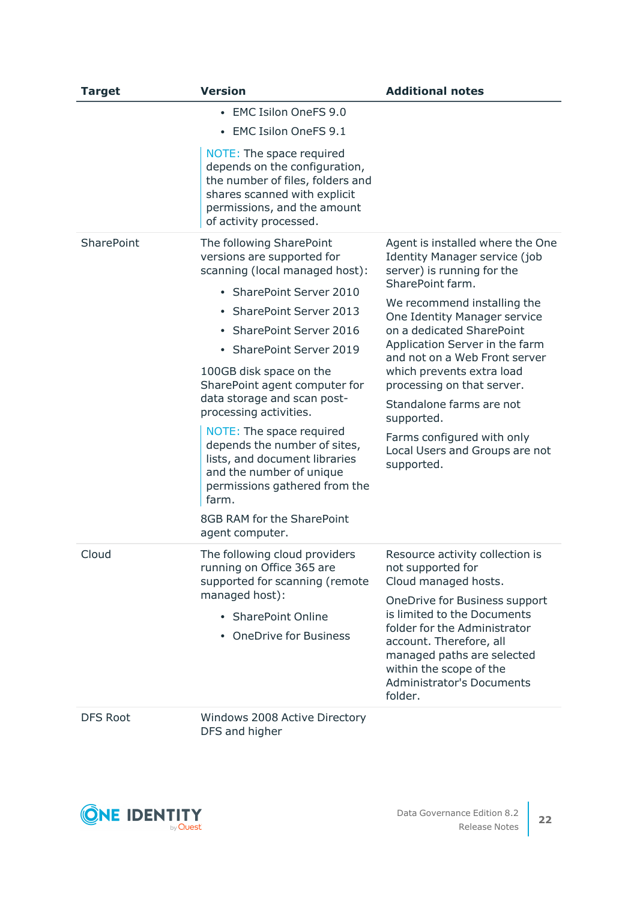| <b>Target</b>   | <b>Version</b>                                                                                                                                                                                                                                                                                                                                                                                                                                                                                                                                              | <b>Additional notes</b>                                                                                                                                                                                                                                                                                                                                                                                                                                                      |
|-----------------|-------------------------------------------------------------------------------------------------------------------------------------------------------------------------------------------------------------------------------------------------------------------------------------------------------------------------------------------------------------------------------------------------------------------------------------------------------------------------------------------------------------------------------------------------------------|------------------------------------------------------------------------------------------------------------------------------------------------------------------------------------------------------------------------------------------------------------------------------------------------------------------------------------------------------------------------------------------------------------------------------------------------------------------------------|
|                 | • EMC Isilon OneFS 9.0<br><b>EMC Isilon OneFS 9.1</b>                                                                                                                                                                                                                                                                                                                                                                                                                                                                                                       |                                                                                                                                                                                                                                                                                                                                                                                                                                                                              |
|                 | NOTE: The space required<br>depends on the configuration,<br>the number of files, folders and<br>shares scanned with explicit<br>permissions, and the amount<br>of activity processed.                                                                                                                                                                                                                                                                                                                                                                      |                                                                                                                                                                                                                                                                                                                                                                                                                                                                              |
| SharePoint      | The following SharePoint<br>versions are supported for<br>scanning (local managed host):<br>• SharePoint Server 2010<br><b>SharePoint Server 2013</b><br><b>SharePoint Server 2016</b><br>• SharePoint Server 2019<br>100GB disk space on the<br>SharePoint agent computer for<br>data storage and scan post-<br>processing activities.<br>NOTE: The space required<br>depends the number of sites,<br>lists, and document libraries<br>and the number of unique<br>permissions gathered from the<br>farm.<br>8GB RAM for the SharePoint<br>agent computer. | Agent is installed where the One<br><b>Identity Manager service (job</b><br>server) is running for the<br>SharePoint farm.<br>We recommend installing the<br>One Identity Manager service<br>on a dedicated SharePoint<br>Application Server in the farm<br>and not on a Web Front server<br>which prevents extra load<br>processing on that server.<br>Standalone farms are not<br>supported.<br>Farms configured with only<br>Local Users and Groups are not<br>supported. |
| Cloud           | The following cloud providers<br>running on Office 365 are<br>supported for scanning (remote<br>managed host):<br>• SharePoint Online<br><b>OneDrive for Business</b>                                                                                                                                                                                                                                                                                                                                                                                       | Resource activity collection is<br>not supported for<br>Cloud managed hosts.<br>OneDrive for Business support<br>is limited to the Documents<br>folder for the Administrator<br>account. Therefore, all<br>managed paths are selected<br>within the scope of the<br><b>Administrator's Documents</b><br>folder.                                                                                                                                                              |
| <b>DFS Root</b> | Windows 2008 Active Directory<br>DFS and higher                                                                                                                                                                                                                                                                                                                                                                                                                                                                                                             |                                                                                                                                                                                                                                                                                                                                                                                                                                                                              |

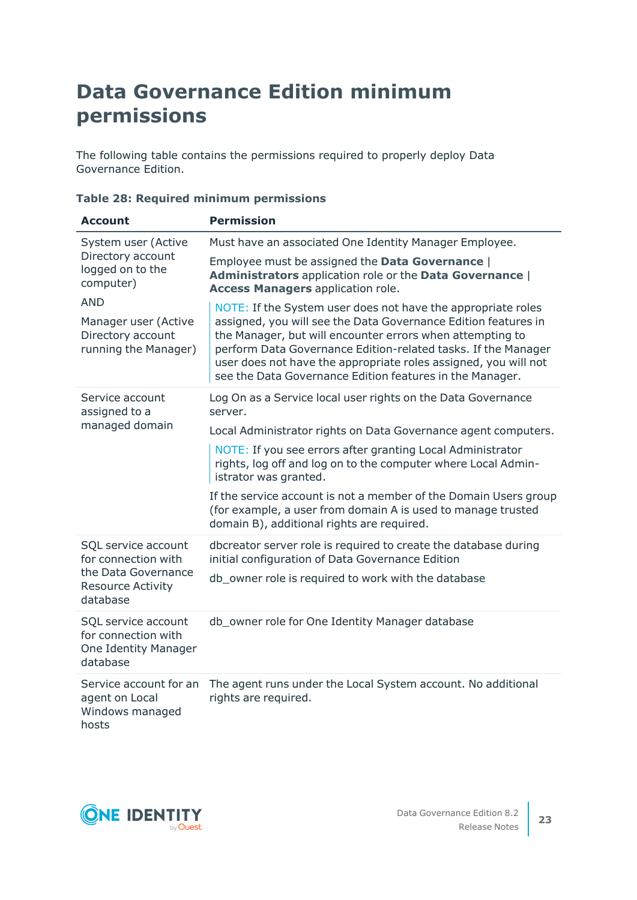## <span id="page-22-0"></span>**Data Governance Edition minimum permissions**

The following table contains the permissions required to properly deploy Data Governance Edition.

| <b>Account</b>                                                                                                                                               | <b>Permission</b>                                                                                                                                                                                                                                                                                                                                                                                                                                                                                                                                                                                                |
|--------------------------------------------------------------------------------------------------------------------------------------------------------------|------------------------------------------------------------------------------------------------------------------------------------------------------------------------------------------------------------------------------------------------------------------------------------------------------------------------------------------------------------------------------------------------------------------------------------------------------------------------------------------------------------------------------------------------------------------------------------------------------------------|
| System user (Active<br>Directory account<br>logged on to the<br>computer)<br><b>AND</b><br>Manager user (Active<br>Directory account<br>running the Manager) | Must have an associated One Identity Manager Employee.<br>Employee must be assigned the Data Governance  <br>Administrators application role or the Data Governance  <br><b>Access Managers application role.</b><br>NOTE: If the System user does not have the appropriate roles<br>assigned, you will see the Data Governance Edition features in<br>the Manager, but will encounter errors when attempting to<br>perform Data Governance Edition-related tasks. If the Manager<br>user does not have the appropriate roles assigned, you will not<br>see the Data Governance Edition features in the Manager. |
| Service account<br>assigned to a<br>managed domain                                                                                                           | Log On as a Service local user rights on the Data Governance<br>server.<br>Local Administrator rights on Data Governance agent computers.<br>NOTE: If you see errors after granting Local Administrator<br>rights, log off and log on to the computer where Local Admin-<br>istrator was granted.<br>If the service account is not a member of the Domain Users group<br>(for example, a user from domain A is used to manage trusted<br>domain B), additional rights are required.                                                                                                                              |
| SQL service account<br>for connection with<br>the Data Governance<br><b>Resource Activity</b><br>database                                                    | dbcreator server role is required to create the database during<br>initial configuration of Data Governance Edition<br>db_owner role is required to work with the database                                                                                                                                                                                                                                                                                                                                                                                                                                       |
| SQL service account<br>for connection with<br>One Identity Manager<br>database                                                                               | db_owner role for One Identity Manager database                                                                                                                                                                                                                                                                                                                                                                                                                                                                                                                                                                  |
| Service account for an<br>agent on Local<br>Windows managed<br>hosts                                                                                         | The agent runs under the Local System account. No additional<br>rights are required.                                                                                                                                                                                                                                                                                                                                                                                                                                                                                                                             |

### **Table 28: Required minimum permissions**

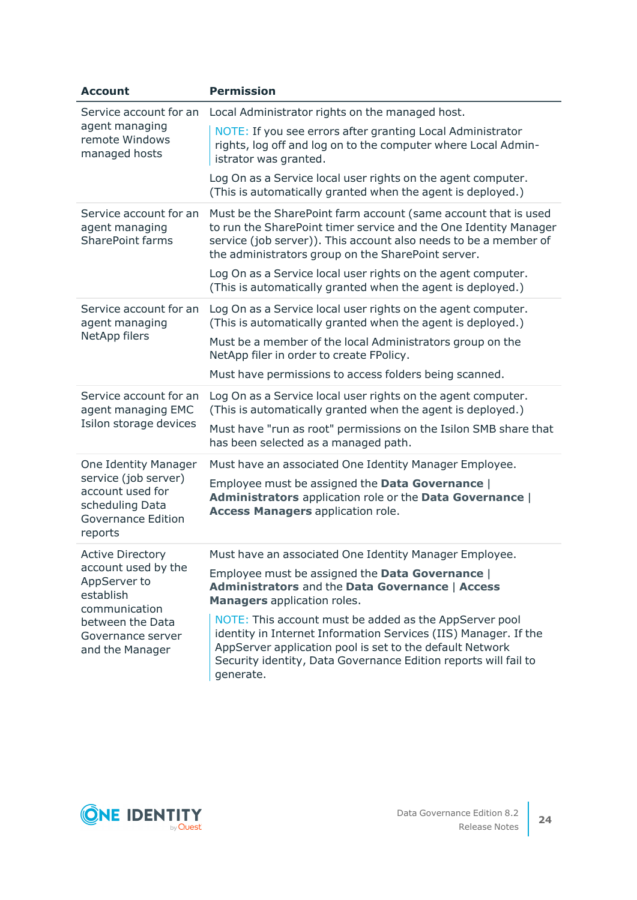| <b>Account</b>                                                                                                                     | <b>Permission</b>                                                                                                                                                                                                                                                     |
|------------------------------------------------------------------------------------------------------------------------------------|-----------------------------------------------------------------------------------------------------------------------------------------------------------------------------------------------------------------------------------------------------------------------|
| Service account for an<br>agent managing<br>remote Windows<br>managed hosts                                                        | Local Administrator rights on the managed host.                                                                                                                                                                                                                       |
|                                                                                                                                    | NOTE: If you see errors after granting Local Administrator<br>rights, log off and log on to the computer where Local Admin-<br>istrator was granted.                                                                                                                  |
|                                                                                                                                    | Log On as a Service local user rights on the agent computer.<br>(This is automatically granted when the agent is deployed.)                                                                                                                                           |
| Service account for an<br>agent managing<br><b>SharePoint farms</b>                                                                | Must be the SharePoint farm account (same account that is used<br>to run the SharePoint timer service and the One Identity Manager<br>service (job server)). This account also needs to be a member of<br>the administrators group on the SharePoint server.          |
|                                                                                                                                    | Log On as a Service local user rights on the agent computer.<br>(This is automatically granted when the agent is deployed.)                                                                                                                                           |
| Service account for an<br>agent managing<br>NetApp filers                                                                          | Log On as a Service local user rights on the agent computer.<br>(This is automatically granted when the agent is deployed.)<br>Must be a member of the local Administrators group on the<br>NetApp filer in order to create FPolicy.                                  |
|                                                                                                                                    | Must have permissions to access folders being scanned.                                                                                                                                                                                                                |
| Service account for an<br>agent managing EMC<br>Isilon storage devices                                                             | Log On as a Service local user rights on the agent computer.<br>(This is automatically granted when the agent is deployed.)<br>Must have "run as root" permissions on the Isilon SMB share that<br>has been selected as a managed path.                               |
|                                                                                                                                    |                                                                                                                                                                                                                                                                       |
| <b>One Identity Manager</b><br>service (job server)<br>account used for<br>scheduling Data<br><b>Governance Edition</b><br>reports | Must have an associated One Identity Manager Employee.<br>Employee must be assigned the Data Governance  <br>Administrators application role or the Data Governance  <br><b>Access Managers application role.</b>                                                     |
| <b>Active Directory</b>                                                                                                            | Must have an associated One Identity Manager Employee.                                                                                                                                                                                                                |
| account used by the<br>AppServer to<br>establish<br>communication<br>between the Data<br>Governance server<br>and the Manager      | Employee must be assigned the Data Governance  <br>Administrators and the Data Governance   Access<br><b>Managers</b> application roles.                                                                                                                              |
|                                                                                                                                    | NOTE: This account must be added as the AppServer pool<br>identity in Internet Information Services (IIS) Manager. If the<br>AppServer application pool is set to the default Network<br>Security identity, Data Governance Edition reports will fail to<br>generate. |

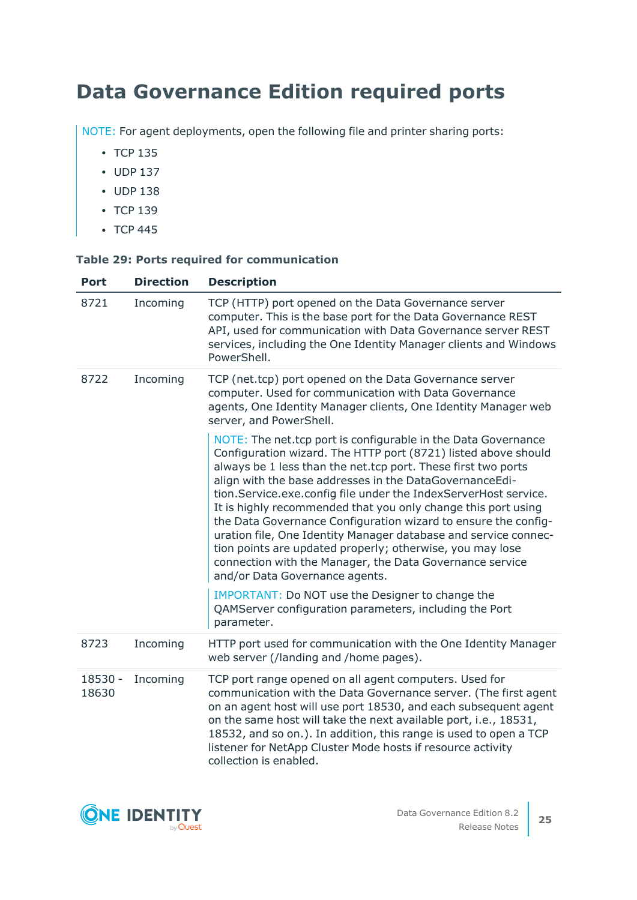## <span id="page-24-0"></span>**Data Governance Edition required ports**

NOTE: For agent deployments, open the following file and printer sharing ports:

- $\cdot$  TCP 135
- $\cdot$  UDP 137
- $\cdot$  UDP 138
- $\cdot$  TCP 139
- $\cdot$  TCP 445

### **Table 29: Ports required for communication**

| <b>Port</b>      | <b>Direction</b> | <b>Description</b>                                                                                                                                                                                                                                                                                                                                                                                                                                                                                                                                                                                                                                                                              |
|------------------|------------------|-------------------------------------------------------------------------------------------------------------------------------------------------------------------------------------------------------------------------------------------------------------------------------------------------------------------------------------------------------------------------------------------------------------------------------------------------------------------------------------------------------------------------------------------------------------------------------------------------------------------------------------------------------------------------------------------------|
| 8721             | Incoming         | TCP (HTTP) port opened on the Data Governance server<br>computer. This is the base port for the Data Governance REST<br>API, used for communication with Data Governance server REST<br>services, including the One Identity Manager clients and Windows<br>PowerShell.                                                                                                                                                                                                                                                                                                                                                                                                                         |
| 8722             | Incoming         | TCP (net.tcp) port opened on the Data Governance server<br>computer. Used for communication with Data Governance<br>agents, One Identity Manager clients, One Identity Manager web<br>server, and PowerShell.                                                                                                                                                                                                                                                                                                                                                                                                                                                                                   |
|                  |                  | NOTE: The net.tcp port is configurable in the Data Governance<br>Configuration wizard. The HTTP port (8721) listed above should<br>always be 1 less than the net.tcp port. These first two ports<br>align with the base addresses in the DataGovernanceEdi-<br>tion.Service.exe.config file under the IndexServerHost service.<br>It is highly recommended that you only change this port using<br>the Data Governance Configuration wizard to ensure the config-<br>uration file, One Identity Manager database and service connec-<br>tion points are updated properly; otherwise, you may lose<br>connection with the Manager, the Data Governance service<br>and/or Data Governance agents. |
|                  |                  | IMPORTANT: Do NOT use the Designer to change the<br>QAMServer configuration parameters, including the Port<br>parameter.                                                                                                                                                                                                                                                                                                                                                                                                                                                                                                                                                                        |
| 8723             | Incoming         | HTTP port used for communication with the One Identity Manager<br>web server (/landing and /home pages).                                                                                                                                                                                                                                                                                                                                                                                                                                                                                                                                                                                        |
| 18530 -<br>18630 | Incoming         | TCP port range opened on all agent computers. Used for<br>communication with the Data Governance server. (The first agent<br>on an agent host will use port 18530, and each subsequent agent<br>on the same host will take the next available port, i.e., 18531,<br>18532, and so on.). In addition, this range is used to open a TCP<br>listener for NetApp Cluster Mode hosts if resource activity<br>collection is enabled.                                                                                                                                                                                                                                                                  |

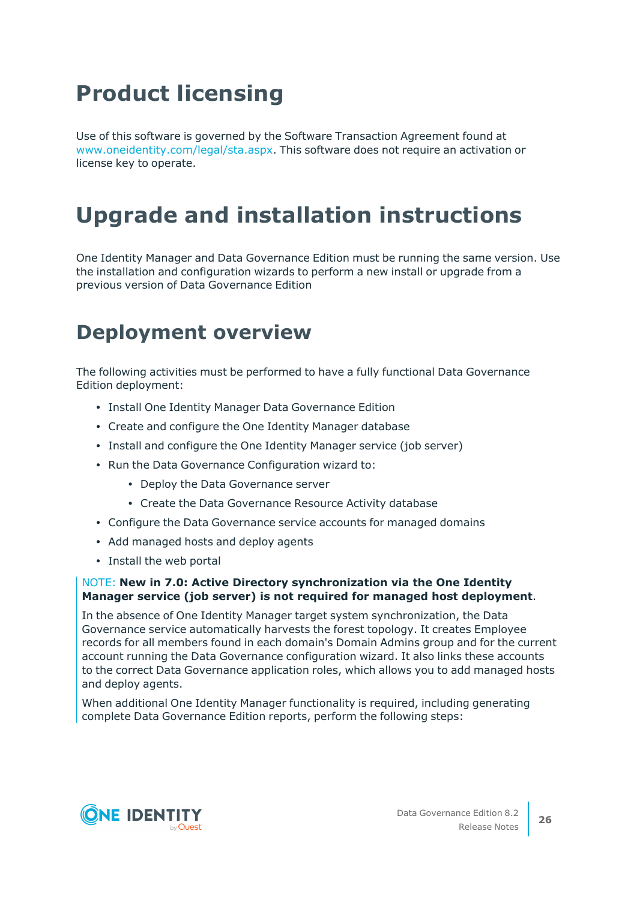# **Product licensing**

Use of this software is governed by the Software Transaction Agreement found at [www.oneidentity.com/legal/sta.aspx](http://www.oneidentity.com/legal/sta.aspx). This software does not require an activation or license key to operate.

# **Upgrade and installation instructions**

One Identity Manager and Data Governance Edition must be running the same version. Use the installation and configuration wizards to perform a new install or upgrade from a previous version of Data Governance Edition

## **Deployment overview**

The following activities must be performed to have a fully functional Data Governance Edition deployment:

- Install One Identity Manager Data Governance Edition
- Create and configure the One Identity Manager database
- Install and configure the One Identity Manager service (job server)
- Run the Data Governance Configuration wizard to:
	- Deploy the Data Governance server
	- Create the Data Governance Resource Activity database
- Configure the Data Governance service accounts for managed domains
- Add managed hosts and deploy agents
- Install the web portal

### NOTE: **New in 7.0: Active Directory synchronization via the One Identity Manager service (job server) is not required for managed host deployment**.

In the absence of One Identity Manager target system synchronization, the Data Governance service automatically harvests the forest topology. It creates Employee records for all members found in each domain's Domain Admins group and for the current account running the Data Governance configuration wizard. It also links these accounts to the correct Data Governance application roles, which allows you to add managed hosts and deploy agents.

When additional One Identity Manager functionality is required, including generating complete Data Governance Edition reports, perform the following steps:

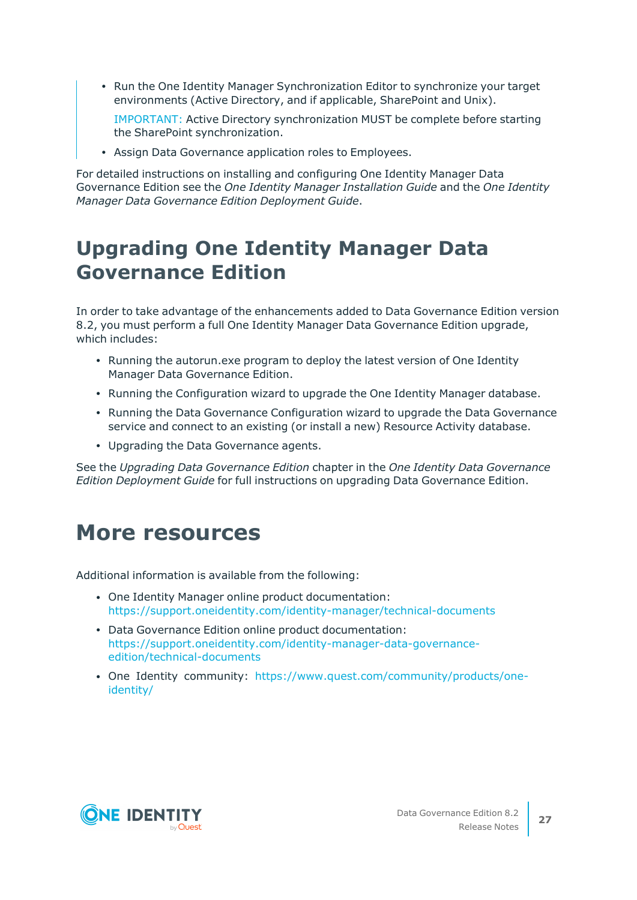• Run the One Identity Manager Synchronization Editor to synchronize your target environments (Active Directory, and if applicable, SharePoint and Unix).

IMPORTANT: Active Directory synchronization MUST be complete before starting the SharePoint synchronization.

• Assign Data Governance application roles to Employees.

For detailed instructions on installing and configuring One Identity Manager Data Governance Edition see the *One Identity Manager Installation Guide* and the *One Identity Manager Data Governance Edition Deployment Guide*.

## **Upgrading One Identity Manager Data Governance Edition**

In order to take advantage of the enhancements added to Data Governance Edition version 8.2, you must perform a full One Identity Manager Data Governance Edition upgrade, which includes:

- Running the autorun.exe program to deploy the latest version of One Identity Manager Data Governance Edition.
- Running the Configuration wizard to upgrade the One Identity Manager database.
- Running the Data Governance Configuration wizard to upgrade the Data Governance service and connect to an existing (or install a new) Resource Activity database.
- Upgrading the Data Governance agents.

See the *Upgrading Data Governance Edition* chapter in the *One Identity Data Governance Edition Deployment Guide* for full instructions on upgrading Data Governance Edition.

### **More resources**

Additional information is available from the following:

- One Identity Manager online product documentation: [https://support.oneidentity.com/identity-manager/technical-documents](https://support.oneidentity.com/identity-manager/technical-documents/)
- Data Governance Edition online product documentation: [https://support.oneidentity.com/identity-manager-data-governance](https://support.oneidentity.com/identity-manager-data-governance-edition/technical-documents)[edition/technical-documents](https://support.oneidentity.com/identity-manager-data-governance-edition/technical-documents)
- One Identity community: [https://www.quest.com/community/products/one](https://www.quest.com/community/products/one-identity/)[identity/](https://www.quest.com/community/products/one-identity/)

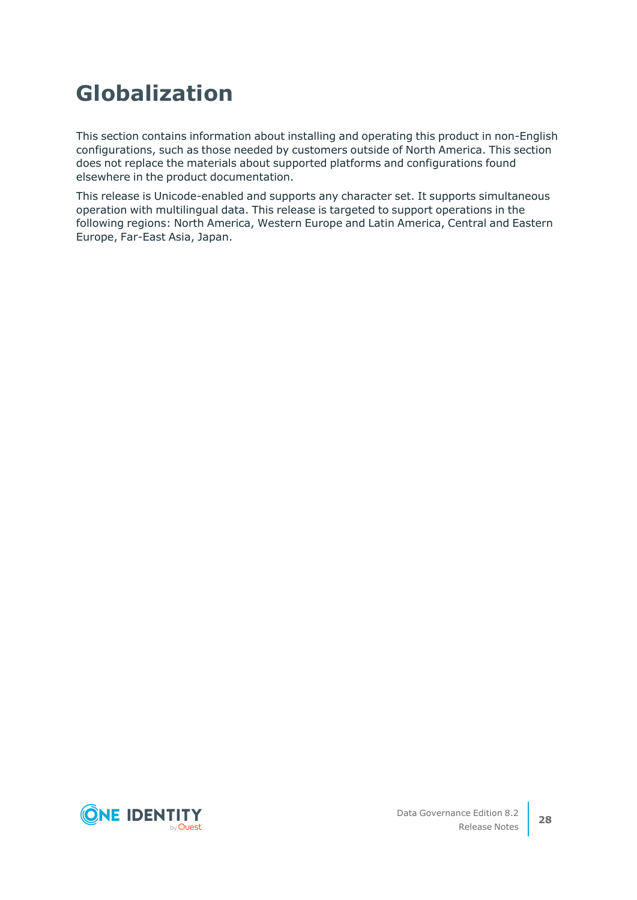# **Globalization**

This section contains information about installing and operating this product in non-English configurations, such as those needed by customers outside of North America. This section does not replace the materials about supported platforms and configurations found elsewhere in the product documentation.

This release is Unicode-enabled and supports any character set. It supports simultaneous operation with multilingual data. This release is targeted to support operations in the following regions: North America, Western Europe and Latin America, Central and Eastern Europe, Far-East Asia, Japan.

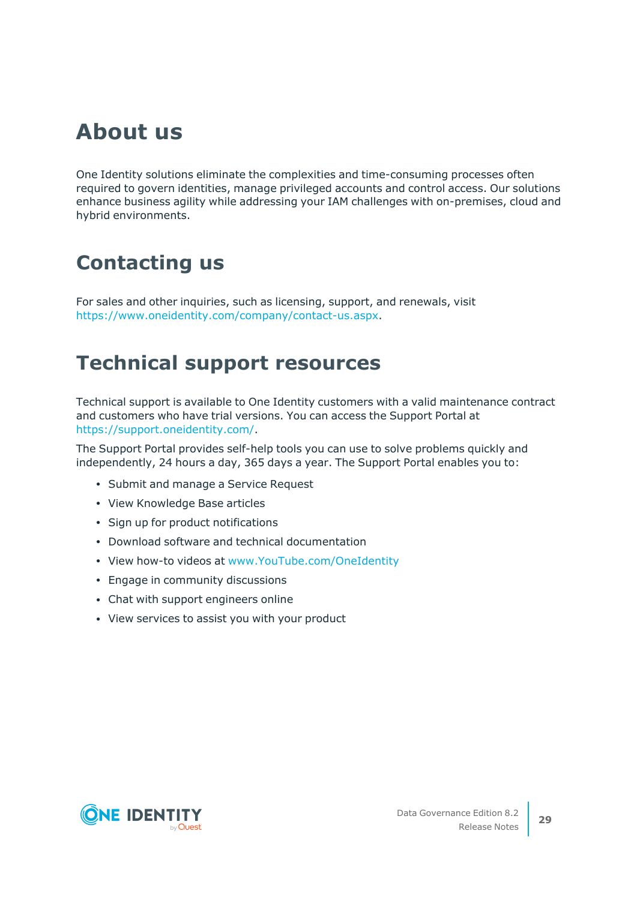## **About us**

One Identity solutions eliminate the complexities and time-consuming processes often required to govern identities, manage privileged accounts and control access. Our solutions enhance business agility while addressing your IAM challenges with on-premises, cloud and hybrid environments.

## **Contacting us**

For sales and other inquiries, such as licensing, support, and renewals, visit [https://www.oneidentity.com/company/contact-us.aspx.](https://www.oneidentity.com/company/contact-us.aspx)

### **Technical support resources**

Technical support is available to One Identity customers with a valid maintenance contract and customers who have trial versions. You can access the Support Portal at [https://support.oneidentity.com/.](https://support.oneidentity.com/)

The Support Portal provides self-help tools you can use to solve problems quickly and independently, 24 hours a day, 365 days a year. The Support Portal enables you to:

- Submit and manage a Service Request
- View Knowledge Base articles
- Sign up for product notifications
- Download software and technical documentation
- View how-to videos at [www.YouTube.com/OneIdentity](http://www.youtube.com/OneIdentity)
- Engage in community discussions
- Chat with support engineers online
- View services to assist you with your product